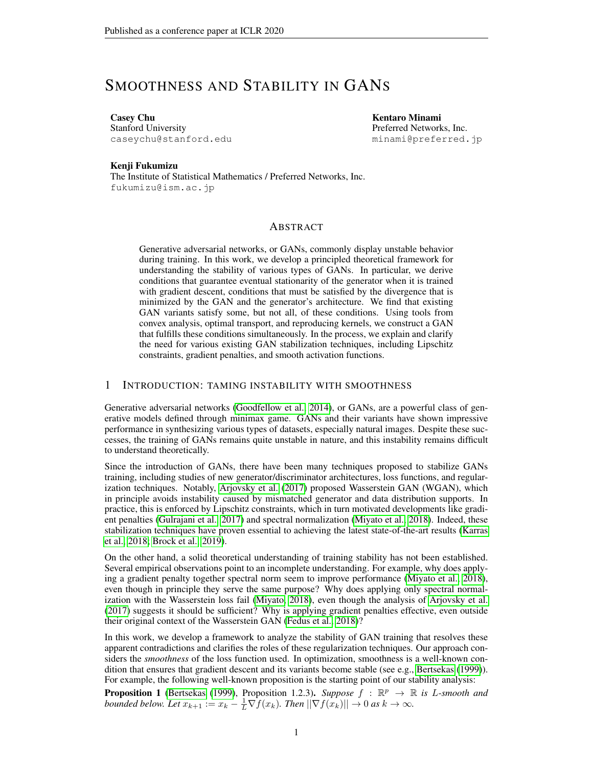# SMOOTHNESS AND STABILITY IN GANS

Casey Chu Stanford University caseychu@stanford.edu Kentaro Minami Preferred Networks, Inc. minami@preferred.jp

### Kenji Fukumizu

The Institute of Statistical Mathematics / Preferred Networks, Inc. fukumizu@ism.ac.jp

### ABSTRACT

Generative adversarial networks, or GANs, commonly display unstable behavior during training. In this work, we develop a principled theoretical framework for understanding the stability of various types of GANs. In particular, we derive conditions that guarantee eventual stationarity of the generator when it is trained with gradient descent, conditions that must be satisfied by the divergence that is minimized by the GAN and the generator's architecture. We find that existing GAN variants satisfy some, but not all, of these conditions. Using tools from convex analysis, optimal transport, and reproducing kernels, we construct a GAN that fulfills these conditions simultaneously. In the process, we explain and clarify the need for various existing GAN stabilization techniques, including Lipschitz constraints, gradient penalties, and smooth activation functions.

## <span id="page-0-1"></span>1 INTRODUCTION: TAMING INSTABILITY WITH SMOOTHNESS

Generative adversarial networks [\(Goodfellow et al., 2014\)](#page-10-0), or GANs, are a powerful class of generative models defined through minimax game. GANs and their variants have shown impressive performance in synthesizing various types of datasets, especially natural images. Despite these successes, the training of GANs remains quite unstable in nature, and this instability remains difficult to understand theoretically.

Since the introduction of GANs, there have been many techniques proposed to stabilize GANs training, including studies of new generator/discriminator architectures, loss functions, and regularization techniques. Notably, [Arjovsky et al.](#page-10-1) [\(2017\)](#page-10-1) proposed Wasserstein GAN (WGAN), which in principle avoids instability caused by mismatched generator and data distribution supports. In practice, this is enforced by Lipschitz constraints, which in turn motivated developments like gradient penalties [\(Gulrajani et al., 2017\)](#page-11-0) and spectral normalization [\(Miyato et al., 2018\)](#page-11-1). Indeed, these stabilization techniques have proven essential to achieving the latest state-of-the-art results [\(Karras](#page-11-2) [et al., 2018;](#page-11-2) [Brock et al., 2019\)](#page-10-2).

On the other hand, a solid theoretical understanding of training stability has not been established. Several empirical observations point to an incomplete understanding. For example, why does applying a gradient penalty together spectral norm seem to improve performance [\(Miyato et al., 2018\)](#page-11-1), even though in principle they serve the same purpose? Why does applying only spectral normalization with the Wasserstein loss fail [\(Miyato, 2018\)](#page-11-3), even though the analysis of [Arjovsky et al.](#page-10-1) [\(2017\)](#page-10-1) suggests it should be sufficient? Why is applying gradient penalties effective, even outside their original context of the Wasserstein GAN [\(Fedus et al., 2018\)](#page-10-3)?

In this work, we develop a framework to analyze the stability of GAN training that resolves these apparent contradictions and clarifies the roles of these regularization techniques. Our approach considers the *smoothness* of the loss function used. In optimization, smoothness is a well-known condition that ensures that gradient descent and its variants become stable (see e.g., [Bertsekas](#page-10-4) [\(1999\)](#page-10-4)). For example, the following well-known proposition is the starting point of our stability analysis:

<span id="page-0-0"></span>**Proposition 1** [\(Bertsekas](#page-10-4) [\(1999\)](#page-10-4), Proposition 1.2.3). *Suppose*  $f : \mathbb{R}^p \to \mathbb{R}$  is *L*-smooth and *bounded below. Let*  $x_{k+1} := x_k - \frac{1}{L} \nabla f(x_k)$ *. Then*  $||\nabla f(x_k)|| \to 0$  *as*  $k \to \infty$ *.*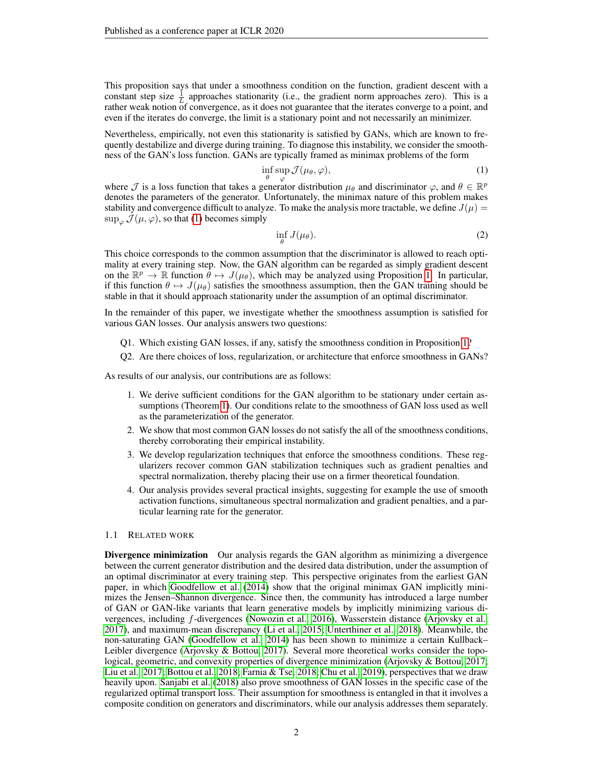This proposition says that under a smoothness condition on the function, gradient descent with a constant step size  $\frac{1}{L}$  approaches stationarity (i.e., the gradient norm approaches zero). This is a rather weak notion of convergence, as it does not guarantee that the iterates converge to a point, and even if the iterates do converge, the limit is a stationary point and not necessarily an minimizer.

Nevertheless, empirically, not even this stationarity is satisfied by GANs, which are known to frequently destabilize and diverge during training. To diagnose this instability, we consider the smoothness of the GAN's loss function. GANs are typically framed as minimax problems of the form

<span id="page-1-0"></span>
$$
\inf_{\theta} \sup_{\varphi} \mathcal{J}(\mu_{\theta}, \varphi),\tag{1}
$$

where  $\mathcal J$  is a loss function that takes a generator distribution  $\mu_\theta$  and discriminator  $\varphi$ , and  $\theta \in \mathbb{R}^p$ denotes the parameters of the generator. Unfortunately, the minimax nature of this problem makes stability and convergence difficult to analyze. To make the analysis more tractable, we define  $J(\mu)$  $\sup_{\varphi} \mathcal{J}(\mu, \varphi)$ , so that [\(1\)](#page-1-0) becomes simply

$$
\inf_{\theta} J(\mu_{\theta}). \tag{2}
$$

This choice corresponds to the common assumption that the discriminator is allowed to reach optimality at every training step. Now, the GAN algorithm can be regarded as simply gradient descent on the  $\mathbb{R}^p \to \mathbb{R}$  function  $\theta \mapsto J(\mu_\theta)$ , which may be analyzed using Proposition [1.](#page-0-0) In particular, if this function  $\theta \mapsto J(\mu_{\theta})$  satisfies the smoothness assumption, then the GAN training should be stable in that it should approach stationarity under the assumption of an optimal discriminator.

In the remainder of this paper, we investigate whether the smoothness assumption is satisfied for various GAN losses. Our analysis answers two questions:

- Q1. Which existing GAN losses, if any, satisfy the smoothness condition in Proposition [1?](#page-0-0)
- Q2. Are there choices of loss, regularization, or architecture that enforce smoothness in GANs?

As results of our analysis, our contributions are as follows:

- 1. We derive sufficient conditions for the GAN algorithm to be stationary under certain assumptions (Theorem [1\)](#page-3-0). Our conditions relate to the smoothness of GAN loss used as well as the parameterization of the generator.
- 2. We show that most common GAN losses do not satisfy the all of the smoothness conditions, thereby corroborating their empirical instability.
- 3. We develop regularization techniques that enforce the smoothness conditions. These regularizers recover common GAN stabilization techniques such as gradient penalties and spectral normalization, thereby placing their use on a firmer theoretical foundation.
- 4. Our analysis provides several practical insights, suggesting for example the use of smooth activation functions, simultaneous spectral normalization and gradient penalties, and a particular learning rate for the generator.

### 1.1 RELATED WORK

Divergence minimization Our analysis regards the GAN algorithm as minimizing a divergence between the current generator distribution and the desired data distribution, under the assumption of an optimal discriminator at every training step. This perspective originates from the earliest GAN paper, in which [Goodfellow et al.](#page-10-0) [\(2014\)](#page-10-0) show that the original minimax GAN implicitly minimizes the Jensen–Shannon divergence. Since then, the community has introduced a large number of GAN or GAN-like variants that learn generative models by implicitly minimizing various divergences, including f-divergences [\(Nowozin et al., 2016\)](#page-11-4), Wasserstein distance [\(Arjovsky et al.,](#page-10-1) [2017\)](#page-10-1), and maximum-mean discrepancy [\(Li et al., 2015;](#page-11-5) [Unterthiner et al., 2018\)](#page-12-0). Meanwhile, the non-saturating GAN [\(Goodfellow et al., 2014\)](#page-10-0) has been shown to minimize a certain Kullback– Leibler divergence [\(Arjovsky & Bottou, 2017\)](#page-10-5). Several more theoretical works consider the topological, geometric, and convexity properties of divergence minimization [\(Arjovsky & Bottou, 2017;](#page-10-5) [Liu et al., 2017;](#page-11-6) [Bottou et al., 2018;](#page-10-6) [Farnia & Tse, 2018;](#page-10-7) [Chu et al., 2019\)](#page-10-8), perspectives that we draw heavily upon. [Sanjabi et al.](#page-12-1) [\(2018\)](#page-12-1) also prove smoothness of GAN losses in the specific case of the regularized optimal transport loss. Their assumption for smoothness is entangled in that it involves a composite condition on generators and discriminators, while our analysis addresses them separately.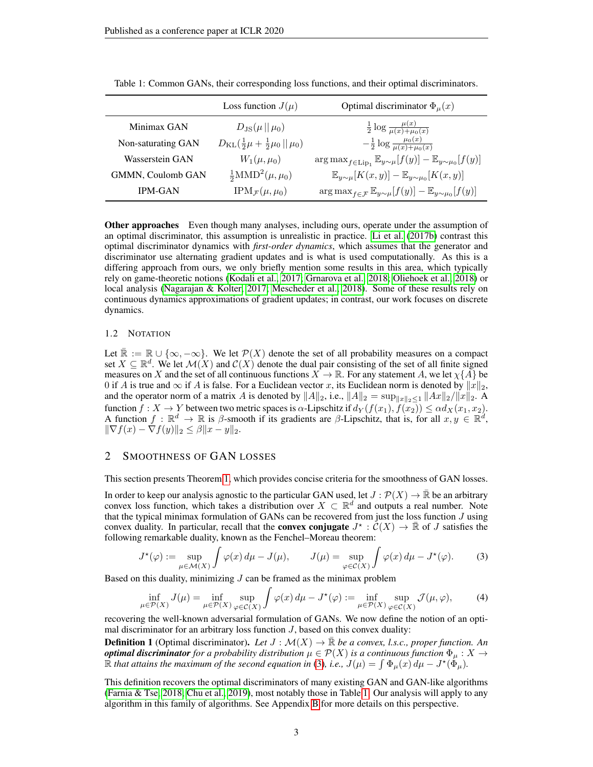|                    | Loss function $J(\mu)$                                      | Optimal discriminator $\Phi_{\mu}(x)$                                                            |
|--------------------|-------------------------------------------------------------|--------------------------------------------------------------------------------------------------|
| Minimax GAN        | $D_{\rm JS}(\mu    \mu_0)$                                  | $\frac{1}{2} \log \frac{\mu(x)}{\mu(x) + \mu_0(x)}$                                              |
| Non-saturating GAN | $D_{\text{KL}}(\frac{1}{2}\mu + \frac{1}{2}\mu_0    \mu_0)$ | $-\frac{1}{2}\log\frac{\mu_0(x)}{\mu(x)+\mu_0(x)}$                                               |
| Wasserstein GAN    | $W_1(\mu,\mu_0)$                                            | $\arg \max_{f \in \text{Lip}_1} \mathbb{E}_{y \sim \mu}[f(y)] - \mathbb{E}_{y \sim \mu_0}[f(y)]$ |
| GMMN, Coulomb GAN  | $\frac{1}{2}$ MMD <sup>2</sup> $(\mu, \mu_0)$               | $\mathbb{E}_{y\sim\mu}[K(x,y)] - \mathbb{E}_{y\sim\mu_0}[K(x,y)]$                                |
| <b>IPM-GAN</b>     | $IPM_{\mathcal{F}}(\mu,\mu_0)$                              | $\arg \max_{f \in \mathcal{F}} \mathbb{E}_{y \sim \mu}[f(y)] - \mathbb{E}_{y \sim \mu_0}[f(y)]$  |

<span id="page-2-1"></span>Table 1: Common GANs, their corresponding loss functions, and their optimal discriminators.

**Other approaches** Even though many analyses, including ours, operate under the assumption of an optimal discriminator, this assumption is unrealistic in practice. [Li et al.](#page-11-7) [\(2017b\)](#page-11-7) contrast this optimal discriminator dynamics with *first-order dynamics*, which assumes that the generator and discriminator use alternating gradient updates and is what is used computationally. As this is a differing approach from ours, we only briefly mention some results in this area, which typically rely on game-theoretic notions [\(Kodali et al., 2017;](#page-11-8) [Grnarova et al., 2018;](#page-10-9) [Oliehoek et al., 2018\)](#page-11-9) or local analysis [\(Nagarajan & Kolter, 2017;](#page-11-10) [Mescheder et al., 2018\)](#page-11-11). Some of these results rely on continuous dynamics approximations of gradient updates; in contrast, our work focuses on discrete dynamics.

### 1.2 NOTATION

Let  $\mathbb{R} := \mathbb{R} \cup \{\infty, -\infty\}$ . We let  $\mathcal{P}(X)$  denote the set of all probability measures on a compact set  $X \subseteq \mathbb{R}^d$ . We let  $\mathcal{M}(X)$  and  $\mathcal{C}(X)$  denote the dual pair consisting of the set of all finite signed measures on X and the set of all continuous functions  $X \to \mathbb{R}$ . For any statement A, we let  $\chi\{A\}$  be 0 if A is true and  $\infty$  if A is false. For a Euclidean vector x, its Euclidean norm is denoted by  $||x||_2$ , and the operator norm of a matrix A is denoted by  $||A||_2$ , i.e.,  $||A||_2 = \sup_{||x||_2 \leq 1} ||Ax||_2/||x||_2$ . A function  $f: X \to Y$  between two metric spaces is  $\alpha$ -Lipschitz if  $d_Y(f(x_1), f(x_2)) \leq \alpha d_X(x_1, x_2)$ . A function  $f : \mathbb{R}^d \to \mathbb{R}$  is  $\beta$ -smooth if its gradients are  $\beta$ -Lipschitz, that is, for all  $x, y \in \mathbb{R}^d$ ,  $\|\nabla f(x) - \nabla f(y)\|_2 \leq \beta \|x - y\|_2.$ 

## <span id="page-2-2"></span>2 SMOOTHNESS OF GAN LOSSES

This section presents Theorem [1,](#page-3-0) which provides concise criteria for the smoothness of GAN losses.

In order to keep our analysis agnostic to the particular GAN used, let  $J : \mathcal{P}(X) \to \mathbb{R}$  be an arbitrary convex loss function, which takes a distribution over  $X \subset \mathbb{R}^d$  and outputs a real number. Note that the typical minimax formulation of GANs can be recovered from just the loss function  $J$  using convex duality. In particular, recall that the **convex conjugate**  $J^* : \mathcal{C}(X) \to \mathbb{R}$  of J satisfies the following remarkable duality, known as the Fenchel–Moreau theorem:

<span id="page-2-0"></span>
$$
J^{\star}(\varphi) := \sup_{\mu \in \mathcal{M}(X)} \int \varphi(x) d\mu - J(\mu), \qquad J(\mu) = \sup_{\varphi \in \mathcal{C}(X)} \int \varphi(x) d\mu - J^{\star}(\varphi). \tag{3}
$$

Based on this duality, minimizing  $J$  can be framed as the minimax problem

<span id="page-2-3"></span>
$$
\inf_{\mu \in \mathcal{P}(X)} J(\mu) = \inf_{\mu \in \mathcal{P}(X)} \sup_{\varphi \in \mathcal{C}(X)} \int \varphi(x) \, d\mu - J^*(\varphi) := \inf_{\mu \in \mathcal{P}(X)} \sup_{\varphi \in \mathcal{C}(X)} \mathcal{J}(\mu, \varphi), \tag{4}
$$

recovering the well-known adversarial formulation of GANs. We now define the notion of an optimal discriminator for an arbitrary loss function  $J$ , based on this convex duality:

<span id="page-2-4"></span>**Definition 1** (Optimal discriminator). Let  $J : \mathcal{M}(X) \to \mathbb{R}$  be a convex, l.s.c., proper function. An *optimal discriminator for a probability distribution*  $\mu \in \mathcal{P}(X)$  *is a continuous function*  $\Phi_{\mu}: X \to Y$  $\hat{\mathbb{R}}$  *that attains the maximum of the second equation in* [\(3\)](#page-2-0), *i.e.*,  $J(\mu) = \int \Phi_{\mu}(x) d\mu - J^{\star}(\tilde{\Phi}_{\mu})$ .

This definition recovers the optimal discriminators of many existing GAN and GAN-like algorithms [\(Farnia & Tse, 2018;](#page-10-7) [Chu et al., 2019\)](#page-10-8), most notably those in Table [1.](#page-2-1) Our analysis will apply to any algorithm in this family of algorithms. See Appendix [B](#page-13-0) for more details on this perspective.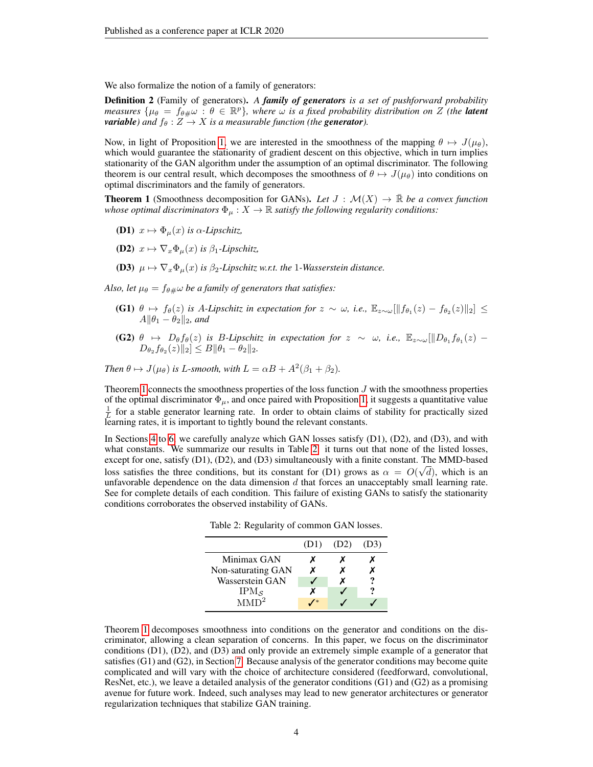We also formalize the notion of a family of generators:

Definition 2 (Family of generators). *A family of generators is a set of pushforward probability measures*  $\{\mu_{\theta} = f_{\theta\#}\omega : \theta \in \mathbb{R}^p\}$ , where  $\omega$  is a fixed probability distribution on Z (the **latent** *variable)* and  $f_{\theta}: Z \rightarrow X$  *is a measurable function (the generator).* 

Now, in light of Proposition [1,](#page-0-0) we are interested in the smoothness of the mapping  $\theta \mapsto J(\mu_{\theta})$ , which would guarantee the stationarity of gradient descent on this objective, which in turn implies stationarity of the GAN algorithm under the assumption of an optimal discriminator. The following theorem is our central result, which decomposes the smoothness of  $\theta \mapsto J(\mu_{\theta})$  into conditions on optimal discriminators and the family of generators.

<span id="page-3-0"></span>**Theorem 1** (Smoothness decomposition for GANs). Let  $J : \mathcal{M}(X) \to \mathbb{R}$  be a convex function *whose optimal discriminators*  $\Phi_{\mu}: X \to \mathbb{R}$  *satisfy the following regularity conditions:* 

- **(D1)**  $x \mapsto \Phi_{\mu}(x)$  *is*  $\alpha$ -*Lipschitz*,
- (D2)  $x \mapsto \nabla_x \Phi_u(x)$  *is*  $\beta_1$ -*Lipschitz*,

(D3)  $\mu \mapsto \nabla_x \Phi_\mu(x)$  *is*  $\beta_2$ -Lipschitz w.r.t. the 1-Wasserstein distance.

*Also, let*  $\mu_{\theta} = f_{\theta\#} \omega$  *be a family of generators that satisfies:* 

- (G1)  $\theta \mapsto f_{\theta}(z)$  *is A-Lipschitz in expectation for*  $z \sim \omega$ *, i.e.*,  $\mathbb{E}_{z \sim \omega}[\|f_{\theta_1}(z) f_{\theta_2}(z)\|_2]$  ≤  $A\|\theta_1-\theta_2\|_2$ *, and*
- (G2)  $\theta \mapsto D_{\theta}f_{\theta}(z)$  *is B-Lipschitz in expectation for*  $z \sim \omega$ , *i.e.*,  $\mathbb{E}_{z \sim \omega}[\Vert D_{\theta_1}f_{\theta_1}(z) D_{\theta_2} f_{\theta_2}(z) \|_2 \leq B \|\theta_1 - \theta_2\|_2.$

*Then*  $\theta \mapsto J(\mu_{\theta})$  *is L*-*smooth, with*  $L = \alpha B + A^2(\beta_1 + \beta_2)$ *.* 

Theorem [1](#page-3-0) connects the smoothness properties of the loss function  $J$  with the smoothness properties of the optimal discriminator  $\Phi_{\mu}$ , and once paired with Proposition [1,](#page-0-0) it suggests a quantitative value  $\frac{1}{L}$  for a stable generator learning rate. In order to obtain claims of stability for practically sized learning rates, it is important to tightly bound the relevant constants.

<span id="page-3-1"></span>In Sections [4](#page-5-0) to [6,](#page-7-0) we carefully analyze which GAN losses satisfy (D1), (D2), and (D3), and with what constants. We summarize our results in Table [2:](#page-3-1) it turns out that none of the listed losses, except for one, satisfy (D1), (D2), and (D3) simultaneously with a finite constant. The MMD-based loss satisfies the three conditions, but its constant for (D1) grows as  $\alpha = O(\sqrt{d})$ , which is an unfavorable dependence on the data dimension  $d$  that forces an unacceptably small learning rate. See for complete details of each condition. This failure of existing GANs to satisfy the stationarity conditions corroborates the observed instability of GANs.

Table 2: Regularity of common GAN losses.

|                     | (D1) | (D2) | (D3) |
|---------------------|------|------|------|
| Minimax GAN         |      |      |      |
| Non-saturating GAN  | x    |      |      |
| Wasserstein GAN     |      | х    |      |
| $IPM_{\mathcal{S}}$ |      |      | ?    |
| MMD <sup>2</sup>    |      |      |      |

Theorem [1](#page-3-0) decomposes smoothness into conditions on the generator and conditions on the discriminator, allowing a clean separation of concerns. In this paper, we focus on the discriminator conditions (D1), (D2), and (D3) and only provide an extremely simple example of a generator that satisfies (G1) and (G2), in Section [7.](#page-8-0) Because analysis of the generator conditions may become quite complicated and will vary with the choice of architecture considered (feedforward, convolutional, ResNet, etc.), we leave a detailed analysis of the generator conditions (G1) and (G2) as a promising avenue for future work. Indeed, such analyses may lead to new generator architectures or generator regularization techniques that stabilize GAN training.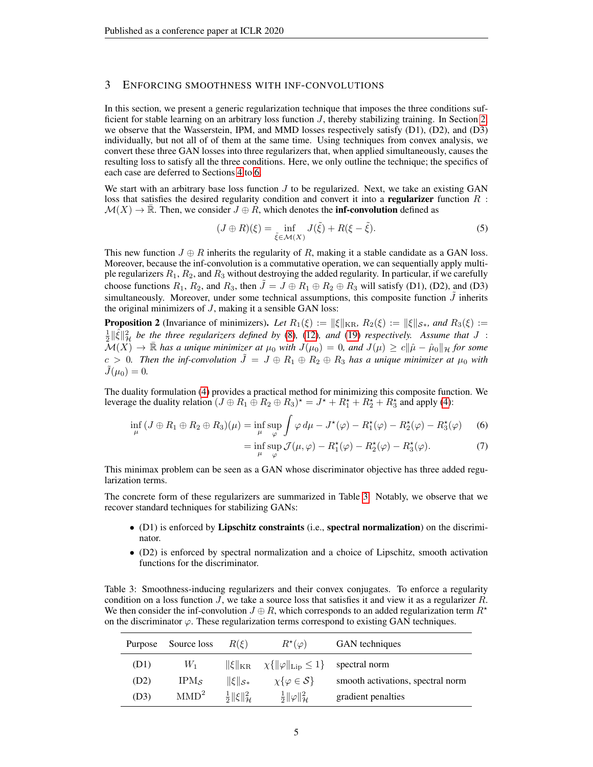## <span id="page-4-1"></span>3 ENFORCING SMOOTHNESS WITH INF-CONVOLUTIONS

In this section, we present a generic regularization technique that imposes the three conditions sufficient for stable learning on an arbitrary loss function  $J$ , thereby stabilizing training. In Section [2,](#page-2-2) we observe that the Wasserstein, IPM, and MMD losses respectively satisfy (D1), (D2), and (D3) individually, but not all of of them at the same time. Using techniques from convex analysis, we convert these three GAN losses into three regularizers that, when applied simultaneously, causes the resulting loss to satisfy all the three conditions. Here, we only outline the technique; the specifics of each case are deferred to Sections [4](#page-5-0) to [6.](#page-7-0)

We start with an arbitrary base loss function  $J$  to be regularized. Next, we take an existing GAN loss that satisfies the desired regularity condition and convert it into a **regularizer** function  $R$ :  $\mathcal{M}(X) \to \mathbb{R}$ . Then, we consider  $J \oplus R$ , which denotes the **inf-convolution** defined as

$$
(J \oplus R)(\xi) = \inf_{\tilde{\xi} \in \mathcal{M}(X)} J(\tilde{\xi}) + R(\xi - \tilde{\xi}).
$$
\n(5)

This new function  $J \oplus R$  inherits the regularity of R, making it a stable candidate as a GAN loss. Moreover, because the inf-convolution is a commutative operation, we can sequentially apply multiple regularizers  $R_1, R_2$ , and  $R_3$  without destroying the added regularity. In particular, if we carefully choose functions  $R_1$ ,  $R_2$ , and  $R_3$ , then  $J = J \oplus R_1 \oplus R_2 \oplus R_3$  will satisfy (D1), (D2), and (D3) simultaneously. Moreover, under some technical assumptions, this composite function  $\tilde{J}$  inherits the original minimizers of  $J$ , making it a sensible GAN loss:

**Proposition 2** (Invariance of minimizers). Let  $R_1(\xi) := ||\xi||_{\text{KR}}$ ,  $R_2(\xi) := ||\xi||_{\mathcal{S}*}$ , and  $R_3(\xi) :=$  $\frac{1}{2}$   $\|\hat{\xi}\|_{\mathcal{H}}^2$  be the three regularizers defined by [\(8\)](#page-5-1), [\(12\)](#page-6-0), and [\(19\)](#page-7-1) *respectively.* Assume that J :  $\mathcal{M}(X) \to \bar{\mathbb{R}}$  has a unique minimizer at  $\mu_0$  with  $J(\mu_0) = 0$ , and  $J(\mu) \geq c||\hat{\mu} - \hat{\mu}_0||_{\mathcal{H}}$  for some  $c > 0$ . Then the inf-convolution  $J = J \oplus R_1 \oplus R_2 \oplus R_3$  has a unique minimizer at  $\mu_0$  with  $J(\mu_0) = 0.$ 

The duality formulation [\(4\)](#page-2-3) provides a practical method for minimizing this composite function. We leverage the duality relation  $(J \oplus R_1 \oplus R_2 \oplus R_3)^* = J^* + R_1^* + R_2^* + R_3^*$  and apply [\(4\)](#page-2-3):

$$
\inf_{\mu} (J \oplus R_1 \oplus R_2 \oplus R_3)(\mu) = \inf_{\mu} \sup_{\varphi} \int \varphi \, d\mu - J^*(\varphi) - R_1^*(\varphi) - R_2^*(\varphi) - R_3^*(\varphi) \tag{6}
$$

<span id="page-4-2"></span>
$$
= \inf_{\mu} \sup_{\varphi} \mathcal{J}(\mu, \varphi) - R_1^{\star}(\varphi) - R_2^{\star}(\varphi) - R_3^{\star}(\varphi). \tag{7}
$$

This minimax problem can be seen as a GAN whose discriminator objective has three added regularization terms.

The concrete form of these regularizers are summarized in Table [3.](#page-4-0) Notably, we observe that we recover standard techniques for stabilizing GANs:

- (D1) is enforced by Lipschitz constraints (i.e., spectral normalization) on the discriminator.
- (D2) is enforced by spectral normalization and a choice of Lipschitz, smooth activation functions for the discriminator.

<span id="page-4-0"></span>Table 3: Smoothness-inducing regularizers and their convex conjugates. To enforce a regularity condition on a loss function  $J$ , we take a source loss that satisfies it and view it as a regularizer  $R$ . We then consider the inf-convolution  $J \oplus R$ , which corresponds to an added regularization term  $R^*$ on the discriminator  $\varphi$ . These regularization terms correspond to existing GAN techniques.

| Purpose | Source loss      | $R(\mathcal{E})$                    | $R^{\star}(\varphi)$                                                | GAN techniques                    |
|---------|------------------|-------------------------------------|---------------------------------------------------------------------|-----------------------------------|
| (D1)    | $W_1$            |                                     | $\ \xi\ _{\text{KR}} \quad \chi\{\ \varphi\ _{\text{Lip}} \leq 1\}$ | spectral norm                     |
| (D2)    | $IPM_{S}$        | $\ \xi\ _{\mathcal{S}*}$            | $\chi\{\varphi \in \mathcal{S}\}\$                                  | smooth activations, spectral norm |
| (D3)    | MMD <sup>2</sup> | $rac{1}{2}  \xi  _{{\mathcal H}}^2$ | $rac{1}{2}  \varphi  ^2_{\mathcal{H}}$                              | gradient penalties                |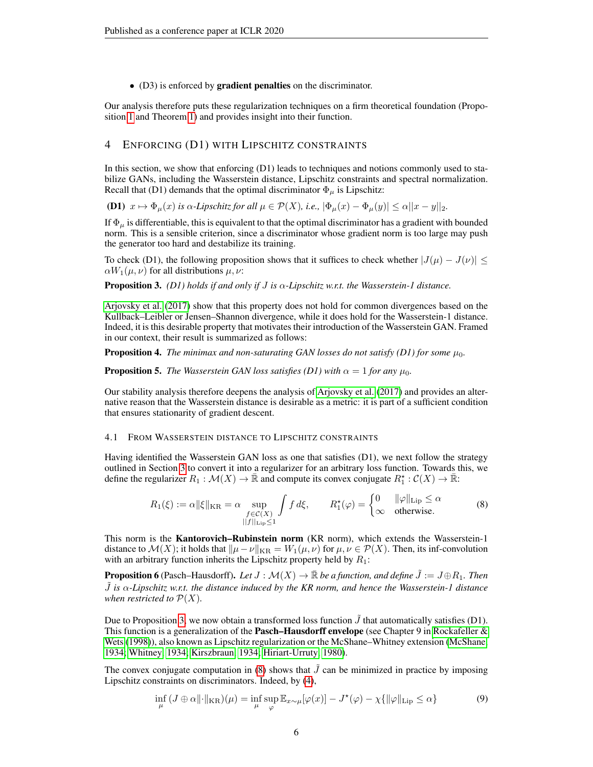• (D3) is enforced by gradient penalties on the discriminator.

Our analysis therefore puts these regularization techniques on a firm theoretical foundation (Proposition [1](#page-0-0) and Theorem [1\)](#page-3-0) and provides insight into their function.

## <span id="page-5-0"></span>4 ENFORCING (D1) WITH LIPSCHITZ CONSTRAINTS

In this section, we show that enforcing  $(D1)$  leads to techniques and notions commonly used to stabilize GANs, including the Wasserstein distance, Lipschitz constraints and spectral normalization. Recall that (D1) demands that the optimal discriminator  $\Phi_{\mu}$  is Lipschitz:

(D1)  $x \mapsto \Phi_{\mu}(x)$  *is*  $\alpha$ *-Lipschitz for all*  $\mu \in \mathcal{P}(X)$ *, i.e.,*  $|\Phi_{\mu}(x) - \Phi_{\mu}(y)| \leq \alpha ||x - y||_2$ *.* 

If  $\Phi_{\mu}$  is differentiable, this is equivalent to that the optimal discriminator has a gradient with bounded norm. This is a sensible criterion, since a discriminator whose gradient norm is too large may push the generator too hard and destabilize its training.

To check (D1), the following proposition shows that it suffices to check whether  $|J(\mu) - J(\nu)| \le$  $\alpha W_1(\mu, \nu)$  for all distributions  $\mu, \nu$ :

<span id="page-5-2"></span>Proposition 3. *(D1) holds if and only if* J *is* α*-Lipschitz w.r.t. the Wasserstein-1 distance.*

[Arjovsky et al.](#page-10-1) [\(2017\)](#page-10-1) show that this property does not hold for common divergences based on the Kullback–Leibler or Jensen–Shannon divergence, while it does hold for the Wasserstein-1 distance. Indeed, it is this desirable property that motivates their introduction of the Wasserstein GAN. Framed in our context, their result is summarized as follows:

<span id="page-5-3"></span>**Proposition 4.** The minimax and non-saturating GAN losses do not satisfy (D1) for some  $\mu_0$ .

<span id="page-5-4"></span>**Proposition 5.** *The Wasserstein GAN loss satisfies (D1) with*  $\alpha = 1$  *for any*  $\mu_0$ *.* 

Our stability analysis therefore deepens the analysis of [Arjovsky et al.](#page-10-1) [\(2017\)](#page-10-1) and provides an alternative reason that the Wasserstein distance is desirable as a metric: it is part of a sufficient condition that ensures stationarity of gradient descent.

### 4.1 FROM WASSERSTEIN DISTANCE TO LIPSCHITZ CONSTRAINTS

Having identified the Wasserstein GAN loss as one that satisfies (D1), we next follow the strategy outlined in Section [3](#page-4-1) to convert it into a regularizer for an arbitrary loss function. Towards this, we define the regularizer  $R_1 : \mathcal{M}(X) \to \bar{\mathbb{R}}$  and compute its convex conjugate  $R_1^* : \mathcal{C}(X) \to \bar{\mathbb{R}}$ :

<span id="page-5-1"></span>
$$
R_1(\xi) := \alpha \|\xi\|_{\text{KR}} = \alpha \sup_{\substack{f \in \mathcal{C}(X) \\ ||f||_{\text{Lip}} \le 1}} \int f \, d\xi, \qquad R_1^{\star}(\varphi) = \begin{cases} 0 & ||\varphi||_{\text{Lip}} \le \alpha \\ \infty & \text{otherwise.} \end{cases} \tag{8}
$$

This norm is the Kantorovich–Rubinstein norm (KR norm), which extends the Wasserstein-1 distance to  $\mathcal{M}(X)$ ; it holds that  $\|\mu-\nu\|_{\text{KR}} = W_1(\mu,\nu)$  for  $\mu,\nu \in \mathcal{P}(X)$ . Then, its inf-convolution with an arbitrary function inherits the Lipschitz property held by  $R_1$ :

**Proposition 6** (Pasch–Hausdorff). Let  $J : \mathcal{M}(X) \to \mathbb{R}$  be a function, and define  $\tilde{J} := J \oplus R_1$ . Then  $\tilde{J}$  is  $\alpha$ -Lipschitz w.r.t. the distance induced by the KR norm, and hence the Wasserstein-1 distance *when restricted to*  $\mathcal{P}(X)$ *.* 

Due to Proposition [3,](#page-5-2) we now obtain a transformed loss function  $J$  that automatically satisfies (D1). This function is a generalization of the **Pasch–Hausdorff envelope** (see Chapter 9 in Rockafeller  $\&$ [Wets](#page-12-2) [\(1998\)](#page-12-2)), also known as Lipschitz regularization or the McShane–Whitney extension [\(McShane,](#page-11-12) [1934;](#page-11-12) [Whitney, 1934;](#page-12-3) [Kirszbraun, 1934;](#page-11-13) [Hiriart-Urruty, 1980\)](#page-11-14).

The convex conjugate computation in [\(8\)](#page-5-1) shows that  $\tilde{J}$  can be minimized in practice by imposing Lipschitz constraints on discriminators. Indeed, by [\(4\)](#page-2-3),

$$
\inf_{\mu} (J \oplus \alpha ||\cdot||_{\text{KR}})(\mu) = \inf_{\mu} \sup_{\varphi} \mathbb{E}_{x \sim \mu} [\varphi(x)] - J^{\star}(\varphi) - \chi \{ ||\varphi||_{\text{Lip}} \le \alpha \}
$$
(9)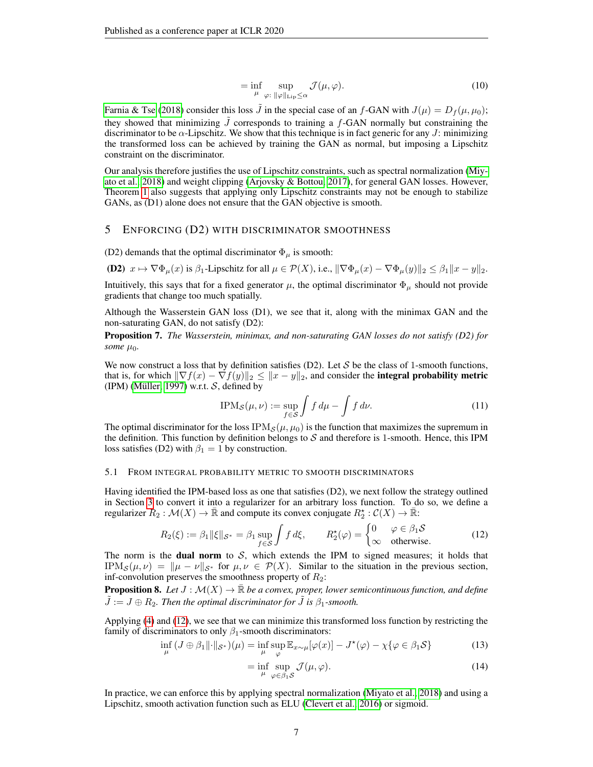$$
= \inf_{\mu} \sup_{\varphi: \|\varphi\|_{\text{Lip}} \le \alpha} \mathcal{J}(\mu, \varphi). \tag{10}
$$

[Farnia & Tse](#page-10-7) [\(2018\)](#page-10-7) consider this loss  $\tilde{J}$  in the special case of an f-GAN with  $J(\mu) = D_f(\mu, \mu_0)$ ; they showed that minimizing  $\tilde{J}$  corresponds to training a f-GAN normally but constraining the discriminator to be  $\alpha$ -Lipschitz. We show that this technique is in fact generic for any J: minimizing the transformed loss can be achieved by training the GAN as normal, but imposing a Lipschitz constraint on the discriminator.

Our analysis therefore justifies the use of Lipschitz constraints, such as spectral normalization [\(Miy](#page-11-1)[ato et al., 2018\)](#page-11-1) and weight clipping [\(Arjovsky & Bottou, 2017\)](#page-10-5), for general GAN losses. However, Theorem [1](#page-3-0) also suggests that applying only Lipschitz constraints may not be enough to stabilize GANs, as (D1) alone does not ensure that the GAN objective is smooth.

## <span id="page-6-2"></span>5 ENFORCING (D2) WITH DISCRIMINATOR SMOOTHNESS

(D2) demands that the optimal discriminator  $\Phi_{\mu}$  is smooth:

(D2)  $x \mapsto \nabla \Phi_{\mu}(x)$  is  $\beta_1$ -Lipschitz for all  $\mu \in \mathcal{P}(X)$ , i.e.,  $\|\nabla \Phi_{\mu}(x) - \nabla \Phi_{\mu}(y)\|_2 \leq \beta_1 \|x - y\|_2$ .

Intuitively, this says that for a fixed generator  $\mu$ , the optimal discriminator  $\Phi_{\mu}$  should not provide gradients that change too much spatially.

Although the Wasserstein GAN loss (D1), we see that it, along with the minimax GAN and the non-saturating GAN, do not satisfy (D2):

Proposition 7. *The Wasserstein, minimax, and non-saturating GAN losses do not satisfy (D2) for some*  $\mu_0$ *.* 

We now construct a loss that by definition satisfies (D2). Let S be the class of 1-smooth functions, that is, for which  $\|\nabla f(x) - \nabla f(y)\|_2 \leq ||x - y||_2$ , and consider the **integral probability metric** (IPM) (Müller, 1997) w.r.t.  $S$ , defined by

<span id="page-6-0"></span>
$$
IPM_{\mathcal{S}}(\mu,\nu) := \sup_{f \in \mathcal{S}} \int f \, d\mu - \int f \, d\nu. \tag{11}
$$

The optimal discriminator for the loss  $IPM<sub>S</sub>(\mu, \mu_0)$  is the function that maximizes the supremum in the definition. This function by definition belongs to  $S$  and therefore is 1-smooth. Hence, this IPM loss satisfies (D2) with  $\beta_1 = 1$  by construction.

#### 5.1 FROM INTEGRAL PROBABILITY METRIC TO SMOOTH DISCRIMINATORS

Having identified the IPM-based loss as one that satisfies (D2), we next follow the strategy outlined in Section [3](#page-4-1) to convert it into a regularizer for an arbitrary loss function. To do so, we define a regularizer  $R_2 : \mathcal{M}(X) \to \bar{\mathbb{R}}$  and compute its convex conjugate  $R_2^* : \mathcal{C}(X) \to \bar{\mathbb{R}}$ :

$$
R_2(\xi) := \beta_1 \|\xi\|_{\mathcal{S}^*} = \beta_1 \sup_{f \in \mathcal{S}} \int f d\xi, \qquad R_2^{\star}(\varphi) = \begin{cases} 0 & \varphi \in \beta_1 \mathcal{S} \\ \infty & \text{otherwise.} \end{cases}
$$
 (12)

The norm is the **dual norm** to  $S$ , which extends the IPM to signed measures; it holds that IPM<sub>S</sub> $(\mu, \nu) = ||\mu - \nu||_{\mathcal{S}^*}$  for  $\mu, \nu \in \mathcal{P}(X)$ . Similar to the situation in the previous section, inf-convolution preserves the smoothness property of  $R_2$ :

**Proposition 8.** Let  $J : \mathcal{M}(X) \to \mathbb{R}$  be a convex, proper, lower semicontinuous function, and define  $\tilde{J} := J \oplus R_2$ . Then the optimal discriminator for  $\tilde{J}$  is  $\beta_1$ -smooth.

Applying [\(4\)](#page-2-3) and [\(12\)](#page-6-0), we see that we can minimize this transformed loss function by restricting the family of discriminators to only  $\beta_1$ -smooth discriminators:

$$
\inf_{\mu} (J \oplus \beta_1 \| \cdot \|_{\mathcal{S}^*})(\mu) = \inf_{\mu} \sup_{\varphi} \mathbb{E}_{x \sim \mu} [\varphi(x)] - J^*(\varphi) - \chi \{ \varphi \in \beta_1 \mathcal{S} \}
$$
(13)

$$
= \inf_{\mu} \sup_{\varphi \in \beta_1 \mathcal{S}} \mathcal{J}(\mu, \varphi). \tag{14}
$$

<span id="page-6-1"></span>In practice, we can enforce this by applying spectral normalization [\(Miyato et al., 2018\)](#page-11-1) and using a Lipschitz, smooth activation function such as ELU [\(Clevert et al., 2016\)](#page-10-10) or sigmoid.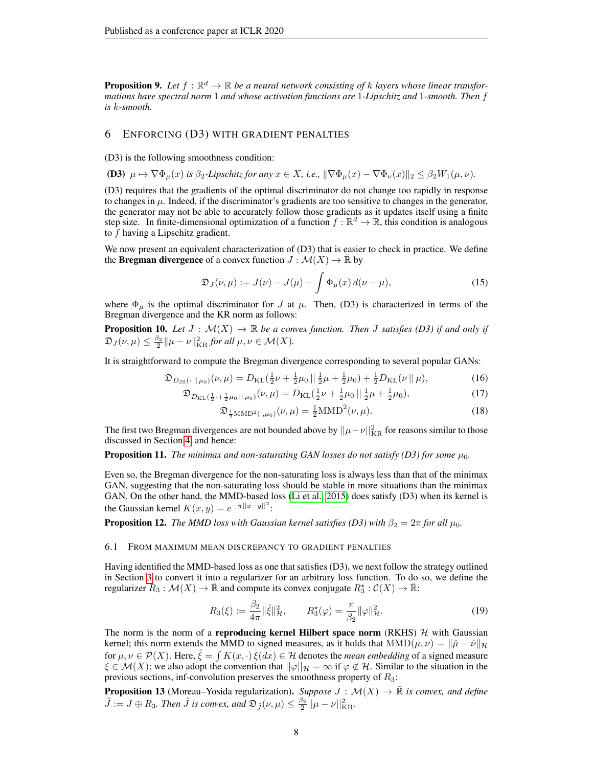**Proposition 9.** Let  $f : \mathbb{R}^d \to \mathbb{R}$  be a neural network consisting of k layers whose linear transfor*mations have spectral norm* 1 *and whose activation functions are* 1*-Lipschitz and* 1*-smooth. Then* f *is* k*-smooth.*

## <span id="page-7-0"></span>6 ENFORCING (D3) WITH GRADIENT PENALTIES

(D3) is the following smoothness condition:

**(D3)** 
$$
\mu \mapsto \nabla \Phi_{\mu}(x)
$$
 is  $\beta_2$ -Lipschitz for any  $x \in X$ , i.e.,  $\|\nabla \Phi_{\mu}(x) - \nabla \Phi_{\nu}(x)\|_2 \leq \beta_2 W_1(\mu, \nu)$ .

(D3) requires that the gradients of the optimal discriminator do not change too rapidly in response to changes in  $\mu$ . Indeed, if the discriminator's gradients are too sensitive to changes in the generator, the generator may not be able to accurately follow those gradients as it updates itself using a finite step size. In finite-dimensional optimization of a function  $f : \mathbb{R}^d \to \mathbb{R}$ , this condition is analogous to f having a Lipschitz gradient.

We now present an equivalent characterization of  $(D3)$  that is easier to check in practice. We define the **Bregman divergence** of a convex function  $J : \mathcal{M}(X) \to \mathbb{R}$  by

$$
\mathfrak{D}_J(\nu,\mu) := J(\nu) - J(\mu) - \int \Phi_\mu(x) d(\nu - \mu), \tag{15}
$$

where  $\Phi_{\mu}$  is the optimal discriminator for J at  $\mu$ . Then, (D3) is characterized in terms of the Bregman divergence and the KR norm as follows:

<span id="page-7-2"></span>**Proposition 10.** Let  $J : \mathcal{M}(X) \to \mathbb{R}$  be a convex function. Then J satisfies (D3) if and only if  $\mathfrak{D}_J(\nu,\mu) \leq \frac{\beta_2}{2} || \mu - \nu ||_{\text{KR}}^2$  for all  $\mu,\nu \in \mathcal{M}(X)$ .

It is straightforward to compute the Bregman divergence corresponding to several popular GANs:

$$
\mathfrak{D}_{D_{\text{JS}}(\cdot \, || \, \mu_0)}(\nu, \mu) = D_{\text{KL}}(\frac{1}{2}\nu + \frac{1}{2}\mu_0 \, || \, \frac{1}{2}\mu + \frac{1}{2}\mu_0) + \frac{1}{2}D_{\text{KL}}(\nu \, || \, \mu),\tag{16}
$$

$$
\mathfrak{D}_{D_{\text{KL}}\left(\frac{1}{2}\cdot+\frac{1}{2}\mu_0\right)\mid\mu_0\right)}(\nu,\mu) = D_{\text{KL}}\left(\frac{1}{2}\nu+\frac{1}{2}\mu_0\right\mid\frac{1}{2}\mu+\frac{1}{2}\mu_0\right),\tag{17}
$$

$$
\mathfrak{D}_{\frac{1}{2} \text{MMD}^2(\cdot,\mu_0)}(\nu,\mu) = \frac{1}{2} \text{MMD}^2(\nu,\mu).
$$
 (18)

The first two Bregman divergences are not bounded above by  $||\mu - \nu||_{\text{KR}}^2$  for reasons similar to those discussed in Section [4,](#page-5-0) and hence:

**Proposition 11.** *The minimax and non-saturating GAN losses do not satisfy (D3) for some*  $\mu_0$ *.* 

Even so, the Bregman divergence for the non-saturating loss is always less than that of the minimax GAN, suggesting that the non-saturating loss should be stable in more situations than the minimax GAN. On the other hand, the MMD-based loss [\(Li et al., 2015\)](#page-11-5) does satisfy (D3) when its kernel is the Gaussian kernel  $K(x, y) = e^{-\pi ||x - y||^2}$ :

**Proposition 12.** *The MMD loss with Gaussian kernel satisfies (D3) with*  $\beta_2 = 2\pi$  *for all*  $\mu_0$ *.* 

#### 6.1 FROM MAXIMUM MEAN DISCREPANCY TO GRADIENT PENALTIES

Having identified the MMD-based loss as one that satisfies (D3), we next follow the strategy outlined in Section [3](#page-4-1) to convert it into a regularizer for an arbitrary loss function. To do so, we define the regularizer  $R_3 : \mathcal{M}(X) \to \overline{\mathbb{R}}$  and compute its convex conjugate  $R_3^* : \mathcal{C}(X) \to \overline{\mathbb{R}}$ :

<span id="page-7-1"></span>
$$
R_3(\xi) := \frac{\beta_2}{4\pi} \|\hat{\xi}\|_{\mathcal{H}}^2, \qquad R_3^{\star}(\varphi) = \frac{\pi}{\beta_2} \|\varphi\|_{\mathcal{H}}^2.
$$
 (19)

The norm is the norm of a **reproducing kernel Hilbert space norm** (RKHS)  $H$  with Gaussian kernel; this norm extends the MMD to signed measures, as it holds that  $MMD(\mu, \nu) = ||\hat{\mu} - \hat{\nu}||_{\mathcal{H}}$ for  $\mu, \nu \in \mathcal{P}(X)$ . Here,  $\hat{\xi} = \int K(x, \cdot) \xi(dx) \in \mathcal{H}$  denotes the *mean embedding* of a signed measure  $\xi \in \mathcal{M}(X)$ ; we also adopt the convention that  $||\varphi||_{\mathcal{H}} = \infty$  if  $\varphi \notin \mathcal{H}$ . Similar to the situation in the previous sections, inf-convolution preserves the smoothness property of  $R_3$ :

**Proposition 13** (Moreau–Yosida regularization). Suppose  $J : \mathcal{M}(X) \to \overline{\mathbb{R}}$  is convex, and define  $\tilde{J} := J \oplus R_3$ . Then  $\tilde{J}$  is convex, and  $\mathfrak{D}_{\tilde{J}}(\nu,\mu) \leq \frac{\beta_2}{2} ||\mu - \nu||_{\text{KR}}^2$ .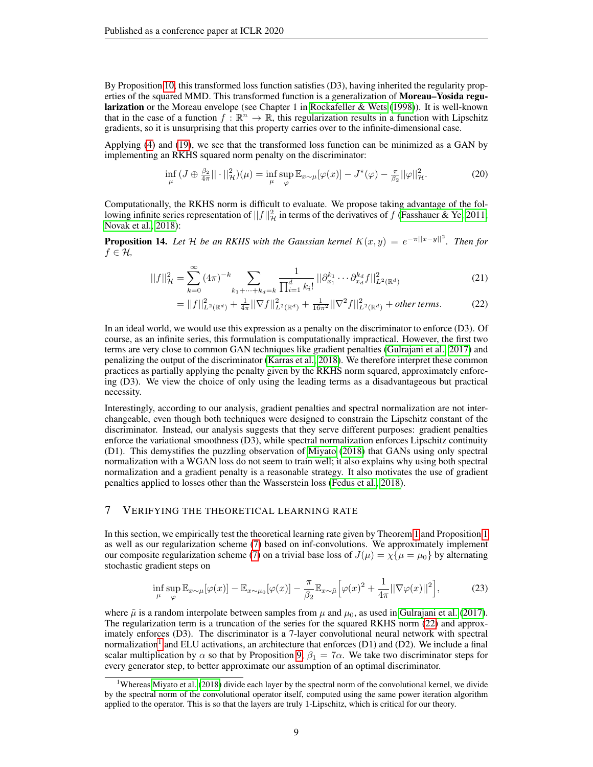By Proposition [10,](#page-7-2) this transformed loss function satisfies (D3), having inherited the regularity properties of the squared MMD. This transformed function is a generalization of **Moreau–Yosida regu**larization or the Moreau envelope (see Chapter 1 in [Rockafeller & Wets](#page-12-2) [\(1998\)](#page-12-2)). It is well-known that in the case of a function  $f : \mathbb{R}^n \to \mathbb{R}$ , this regularization results in a function with Lipschitz gradients, so it is unsurprising that this property carries over to the infinite-dimensional case.

Applying [\(4\)](#page-2-3) and [\(19\)](#page-7-1), we see that the transformed loss function can be minimized as a GAN by implementing an RKHS squared norm penalty on the discriminator:

$$
\inf_{\mu} \left( J \oplus \frac{\beta_2}{4\pi} || \cdot ||^2_{\mathcal{H}} \right)(\mu) = \inf_{\mu} \sup_{\varphi} \mathbb{E}_{x \sim \mu} [\varphi(x)] - J^{\star}(\varphi) - \frac{\pi}{\beta_2} ||\varphi||^2_{\mathcal{H}}.
$$
 (20)

Computationally, the RKHS norm is difficult to evaluate. We propose taking advantage of the following infinite series representation of  $||f||^2_{\mathcal{H}}$  in terms of the derivatives of f [\(Fasshauer & Ye, 2011;](#page-10-11) [Novak et al., 2018\)](#page-11-16):

**Proposition 14.** Let H be an RKHS with the Gaussian kernel  $K(x, y) = e^{-\pi ||x-y||^2}$ . Then for f ∈ H*,*

$$
||f||_{\mathcal{H}}^{2} = \sum_{k=0}^{\infty} (4\pi)^{-k} \sum_{k_{1}+\cdots+k_{d}=k} \frac{1}{\prod_{i=1}^{d} k_{i}!} ||\partial_{x_{1}}^{k_{1}} \cdots \partial_{x_{d}}^{k_{d}} f||_{L^{2}(\mathbb{R}^{d})}^{2}
$$
(21)

<span id="page-8-1"></span>
$$
=||f||_{L^{2}(\mathbb{R}^{d})}^{2}+\frac{1}{4\pi}||\nabla f||_{L^{2}(\mathbb{R}^{d})}^{2}+\frac{1}{16\pi^{2}}||\nabla^{2} f||_{L^{2}(\mathbb{R}^{d})}^{2}+other terms.
$$
 (22)

In an ideal world, we would use this expression as a penalty on the discriminator to enforce (D3). Of course, as an infinite series, this formulation is computationally impractical. However, the first two terms are very close to common GAN techniques like gradient penalties [\(Gulrajani et al., 2017\)](#page-11-0) and penalizing the output of the discriminator [\(Karras et al., 2018\)](#page-11-2). We therefore interpret these common practices as partially applying the penalty given by the RKHS norm squared, approximately enforcing (D3). We view the choice of only using the leading terms as a disadvantageous but practical necessity.

Interestingly, according to our analysis, gradient penalties and spectral normalization are not interchangeable, even though both techniques were designed to constrain the Lipschitz constant of the discriminator. Instead, our analysis suggests that they serve different purposes: gradient penalties enforce the variational smoothness (D3), while spectral normalization enforces Lipschitz continuity (D1). This demystifies the puzzling observation of [Miyato](#page-11-3) [\(2018\)](#page-11-3) that GANs using only spectral normalization with a WGAN loss do not seem to train well; it also explains why using both spectral normalization and a gradient penalty is a reasonable strategy. It also motivates the use of gradient penalties applied to losses other than the Wasserstein loss [\(Fedus et al., 2018\)](#page-10-3).

# <span id="page-8-0"></span>7 VERIFYING THE THEORETICAL LEARNING RATE

In this section, we empirically test the theoretical learning rate given by Theorem [1](#page-3-0) and Proposition [1](#page-0-0) as well as our regularization scheme [\(7\)](#page-4-2) based on inf-convolutions. We approximately implement our composite regularization scheme [\(7\)](#page-4-2) on a trivial base loss of  $J(\mu) = \chi {\mu = \mu_0}$  by alternating stochastic gradient steps on

<span id="page-8-3"></span>
$$
\inf_{\mu} \sup_{\varphi} \mathbb{E}_{x \sim \mu}[\varphi(x)] - \mathbb{E}_{x \sim \mu_0}[\varphi(x)] - \frac{\pi}{\beta_2} \mathbb{E}_{x \sim \tilde{\mu}}\Big[\varphi(x)^2 + \frac{1}{4\pi} ||\nabla \varphi(x)||^2\Big],\tag{23}
$$

where  $\tilde{\mu}$  is a random interpolate between samples from  $\mu$  and  $\mu_0$ , as used in [Gulrajani et al.](#page-11-0) [\(2017\)](#page-11-0). The regularization term is a truncation of the series for the squared RKHS norm [\(22\)](#page-8-1) and approximately enforces (D3). The discriminator is a 7-layer convolutional neural network with spectral normalization<sup>[1](#page-8-2)</sup> and ELU activations, an architecture that enforces (D1) and (D2). We include a final scalar multiplication by  $\alpha$  so that by Proposition [9,](#page-6-1)  $\beta_1 = 7\alpha$ . We take two discriminator steps for every generator step, to better approximate our assumption of an optimal discriminator.

<span id="page-8-2"></span><sup>1</sup>Whereas [Miyato et al.](#page-11-1) [\(2018\)](#page-11-1) divide each layer by the spectral norm of the convolutional kernel, we divide by the spectral norm of the convolutional operator itself, computed using the same power iteration algorithm applied to the operator. This is so that the layers are truly 1-Lipschitz, which is critical for our theory.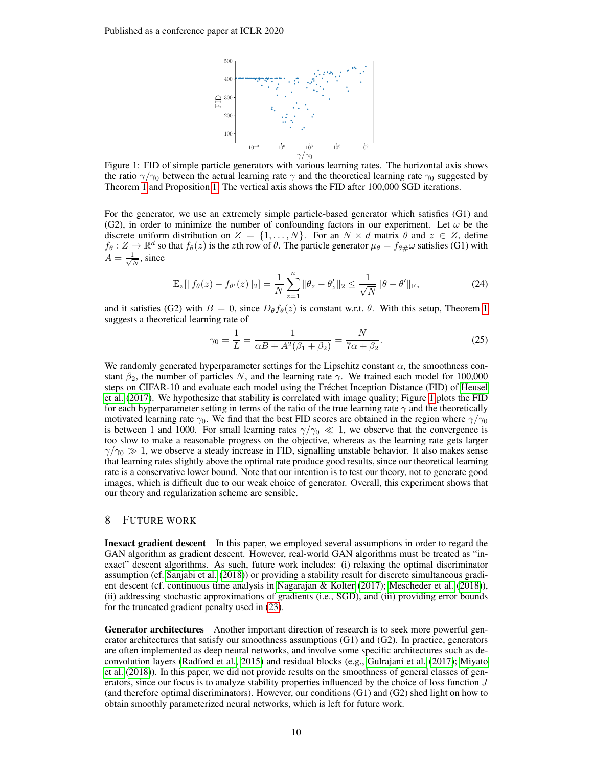

<span id="page-9-0"></span>Figure 1: FID of simple particle generators with various learning rates. The horizontal axis shows the ratio  $\gamma/\gamma_0$  between the actual learning rate  $\gamma$  and the theoretical learning rate  $\gamma_0$  suggested by Theorem [1](#page-3-0) and Proposition [1.](#page-0-0) The vertical axis shows the FID after 100,000 SGD iterations.

For the generator, we use an extremely simple particle-based generator which satisfies (G1) and (G2), in order to minimize the number of confounding factors in our experiment. Let  $\omega$  be the discrete uniform distribution on  $Z = \{1, \ldots, N\}$ . For an  $N \times d$  matrix  $\theta$  and  $z \in Z$ , define  $f_{\theta}: Z \to \mathbb{R}^d$  so that  $f_{\theta}(z)$  is the zth row of  $\theta$ . The particle generator  $\mu_{\theta} = f_{\theta \#} \omega$  satisfies (G1) with  $A=\frac{1}{\sqrt{2}}$  $\frac{1}{N}$ , since

$$
\mathbb{E}_z[\|f_{\theta}(z) - f_{\theta'}(z)\|_2] = \frac{1}{N} \sum_{z=1}^n \|\theta_z - \theta'_z\|_2 \le \frac{1}{\sqrt{N}} \|\theta - \theta'\|_{\mathcal{F}},\tag{24}
$$

and it satisfies (G2) with  $B = 0$ , since  $D_{\theta} f_{\theta}(z)$  is constant w.r.t.  $\theta$ . With this setup, Theorem [1](#page-3-0) suggests a theoretical learning rate of

$$
\gamma_0 = \frac{1}{L} = \frac{1}{\alpha B + A^2(\beta_1 + \beta_2)} = \frac{N}{7\alpha + \beta_2}.
$$
 (25)

We randomly generated hyperparameter settings for the Lipschitz constant  $\alpha$ , the smoothness constant  $\beta_2$ , the number of particles N, and the learning rate  $\gamma$ . We trained each model for 100,000 steps on CIFAR-10 and evaluate each model using the Frechet Inception Distance (FID) of [Heusel](#page-11-17) ´ [et al.](#page-11-17) [\(2017\)](#page-11-17). We hypothesize that stability is correlated with image quality; Figure [1](#page-9-0) plots the FID for each hyperparameter setting in terms of the ratio of the true learning rate  $\gamma$  and the theoretically motivated learning rate  $\gamma_0$ . We find that the best FID scores are obtained in the region where  $\gamma/\gamma_0$ is between 1 and 1000. For small learning rates  $\gamma/\gamma_0 \ll 1$ , we observe that the convergence is too slow to make a reasonable progress on the objective, whereas as the learning rate gets larger  $\gamma/\gamma_0 \gg 1$ , we observe a steady increase in FID, signalling unstable behavior. It also makes sense that learning rates slightly above the optimal rate produce good results, since our theoretical learning rate is a conservative lower bound. Note that our intention is to test our theory, not to generate good images, which is difficult due to our weak choice of generator. Overall, this experiment shows that our theory and regularization scheme are sensible.

#### 8 FUTURE WORK

Inexact gradient descent In this paper, we employed several assumptions in order to regard the GAN algorithm as gradient descent. However, real-world GAN algorithms must be treated as "inexact" descent algorithms. As such, future work includes: (i) relaxing the optimal discriminator assumption (cf. [Sanjabi et al.](#page-12-1) [\(2018\)](#page-12-1)) or providing a stability result for discrete simultaneous gradient descent (cf. continuous time analysis in [Nagarajan & Kolter](#page-11-10) [\(2017\)](#page-11-10); [Mescheder et al.](#page-11-11) [\(2018\)](#page-11-11)), (ii) addressing stochastic approximations of gradients (i.e., SGD), and (iii) providing error bounds for the truncated gradient penalty used in [\(23\)](#page-8-3).

Generator architectures Another important direction of research is to seek more powerful generator architectures that satisfy our smoothness assumptions (G1) and (G2). In practice, generators are often implemented as deep neural networks, and involve some specific architectures such as deconvolution layers [\(Radford et al., 2015\)](#page-12-4) and residual blocks (e.g., [Gulrajani et al.](#page-11-0) [\(2017\)](#page-11-0); [Miyato](#page-11-1) [et al.](#page-11-1) [\(2018\)](#page-11-1)). In this paper, we did not provide results on the smoothness of general classes of generators, since our focus is to analyze stability properties influenced by the choice of loss function J (and therefore optimal discriminators). However, our conditions (G1) and (G2) shed light on how to obtain smoothly parameterized neural networks, which is left for future work.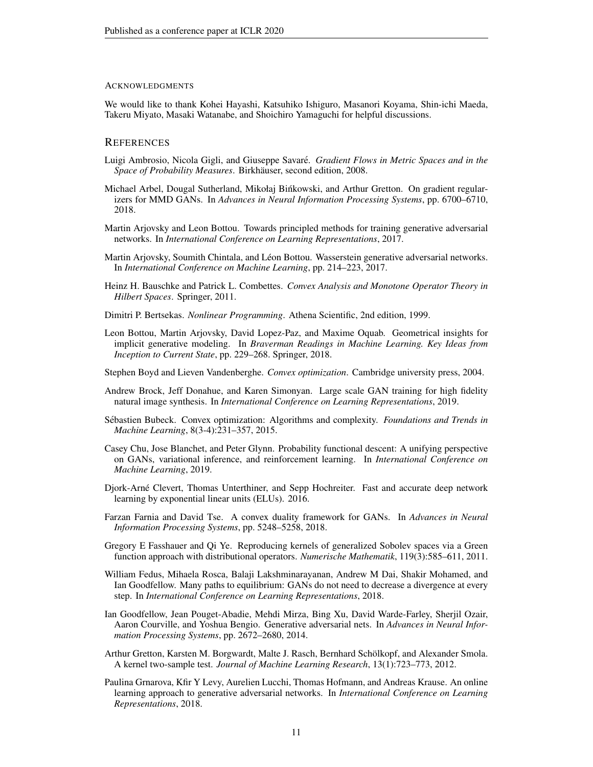#### ACKNOWLEDGMENTS

We would like to thank Kohei Hayashi, Katsuhiko Ishiguro, Masanori Koyama, Shin-ichi Maeda, Takeru Miyato, Masaki Watanabe, and Shoichiro Yamaguchi for helpful discussions.

#### **REFERENCES**

- <span id="page-10-16"></span>Luigi Ambrosio, Nicola Gigli, and Giuseppe Savare.´ *Gradient Flows in Metric Spaces and in the Space of Probability Measures*. Birkhäuser, second edition, 2008.
- <span id="page-10-14"></span>Michael Arbel, Dougal Sutherland, Mikołaj Binkowski, and Arthur Gretton. On gradient regular- ´ izers for MMD GANs. In *Advances in Neural Information Processing Systems*, pp. 6700–6710, 2018.
- <span id="page-10-5"></span>Martin Arjovsky and Leon Bottou. Towards principled methods for training generative adversarial networks. In *International Conference on Learning Representations*, 2017.
- <span id="page-10-1"></span>Martin Arjovsky, Soumith Chintala, and Léon Bottou. Wasserstein generative adversarial networks. In *International Conference on Machine Learning*, pp. 214–223, 2017.
- <span id="page-10-12"></span>Heinz H. Bauschke and Patrick L. Combettes. *Convex Analysis and Monotone Operator Theory in Hilbert Spaces*. Springer, 2011.
- <span id="page-10-4"></span>Dimitri P. Bertsekas. *Nonlinear Programming*. Athena Scientific, 2nd edition, 1999.
- <span id="page-10-6"></span>Leon Bottou, Martin Arjovsky, David Lopez-Paz, and Maxime Oquab. Geometrical insights for implicit generative modeling. In *Braverman Readings in Machine Learning. Key Ideas from Inception to Current State*, pp. 229–268. Springer, 2018.
- <span id="page-10-17"></span>Stephen Boyd and Lieven Vandenberghe. *Convex optimization*. Cambridge university press, 2004.
- <span id="page-10-2"></span>Andrew Brock, Jeff Donahue, and Karen Simonyan. Large scale GAN training for high fidelity natural image synthesis. In *International Conference on Learning Representations*, 2019.
- <span id="page-10-15"></span>Sébastien Bubeck. Convex optimization: Algorithms and complexity. Foundations and Trends in *Machine Learning*, 8(3-4):231–357, 2015.
- <span id="page-10-8"></span>Casey Chu, Jose Blanchet, and Peter Glynn. Probability functional descent: A unifying perspective on GANs, variational inference, and reinforcement learning. In *International Conference on Machine Learning*, 2019.
- <span id="page-10-10"></span>Djork-Arne Clevert, Thomas Unterthiner, and Sepp Hochreiter. Fast and accurate deep network ´ learning by exponential linear units (ELUs). 2016.
- <span id="page-10-7"></span>Farzan Farnia and David Tse. A convex duality framework for GANs. In *Advances in Neural Information Processing Systems*, pp. 5248–5258, 2018.
- <span id="page-10-11"></span>Gregory E Fasshauer and Qi Ye. Reproducing kernels of generalized Sobolev spaces via a Green function approach with distributional operators. *Numerische Mathematik*, 119(3):585–611, 2011.
- <span id="page-10-3"></span>William Fedus, Mihaela Rosca, Balaji Lakshminarayanan, Andrew M Dai, Shakir Mohamed, and Ian Goodfellow. Many paths to equilibrium: GANs do not need to decrease a divergence at every step. In *International Conference on Learning Representations*, 2018.
- <span id="page-10-0"></span>Ian Goodfellow, Jean Pouget-Abadie, Mehdi Mirza, Bing Xu, David Warde-Farley, Sherjil Ozair, Aaron Courville, and Yoshua Bengio. Generative adversarial nets. In *Advances in Neural Information Processing Systems*, pp. 2672–2680, 2014.
- <span id="page-10-13"></span>Arthur Gretton, Karsten M. Borgwardt, Malte J. Rasch, Bernhard Scholkopf, and Alexander Smola. ¨ A kernel two-sample test. *Journal of Machine Learning Research*, 13(1):723–773, 2012.
- <span id="page-10-9"></span>Paulina Grnarova, Kfir Y Levy, Aurelien Lucchi, Thomas Hofmann, and Andreas Krause. An online learning approach to generative adversarial networks. In *International Conference on Learning Representations*, 2018.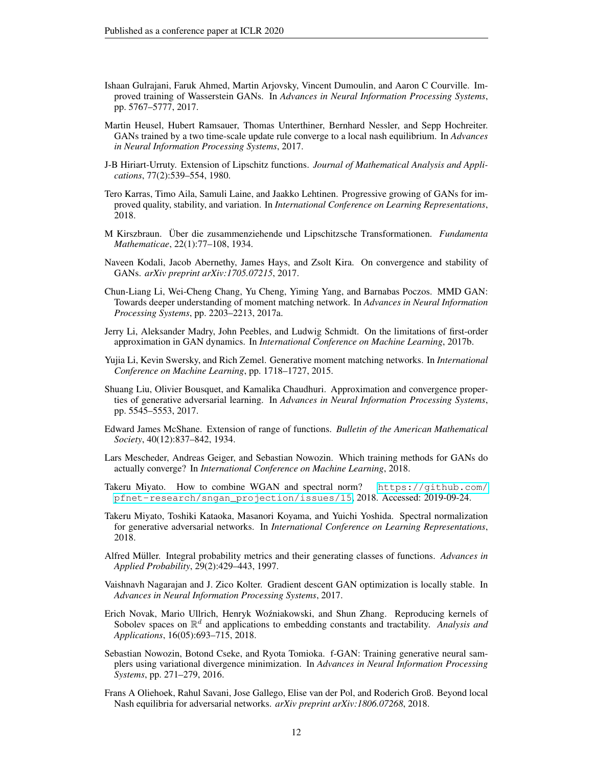- <span id="page-11-0"></span>Ishaan Gulrajani, Faruk Ahmed, Martin Arjovsky, Vincent Dumoulin, and Aaron C Courville. Improved training of Wasserstein GANs. In *Advances in Neural Information Processing Systems*, pp. 5767–5777, 2017.
- <span id="page-11-17"></span>Martin Heusel, Hubert Ramsauer, Thomas Unterthiner, Bernhard Nessler, and Sepp Hochreiter. GANs trained by a two time-scale update rule converge to a local nash equilibrium. In *Advances in Neural Information Processing Systems*, 2017.
- <span id="page-11-14"></span>J-B Hiriart-Urruty. Extension of Lipschitz functions. *Journal of Mathematical Analysis and Applications*, 77(2):539–554, 1980.
- <span id="page-11-2"></span>Tero Karras, Timo Aila, Samuli Laine, and Jaakko Lehtinen. Progressive growing of GANs for improved quality, stability, and variation. In *International Conference on Learning Representations*, 2018.
- <span id="page-11-13"></span>M Kirszbraun. Uber die zusammenziehende und Lipschitzsche Transformationen. *Fundamenta Mathematicae*, 22(1):77–108, 1934.
- <span id="page-11-8"></span>Naveen Kodali, Jacob Abernethy, James Hays, and Zsolt Kira. On convergence and stability of GANs. *arXiv preprint arXiv:1705.07215*, 2017.
- <span id="page-11-18"></span>Chun-Liang Li, Wei-Cheng Chang, Yu Cheng, Yiming Yang, and Barnabas Poczos. MMD GAN: Towards deeper understanding of moment matching network. In *Advances in Neural Information Processing Systems*, pp. 2203–2213, 2017a.
- <span id="page-11-7"></span>Jerry Li, Aleksander Madry, John Peebles, and Ludwig Schmidt. On the limitations of first-order approximation in GAN dynamics. In *International Conference on Machine Learning*, 2017b.
- <span id="page-11-5"></span>Yujia Li, Kevin Swersky, and Rich Zemel. Generative moment matching networks. In *International Conference on Machine Learning*, pp. 1718–1727, 2015.
- <span id="page-11-6"></span>Shuang Liu, Olivier Bousquet, and Kamalika Chaudhuri. Approximation and convergence properties of generative adversarial learning. In *Advances in Neural Information Processing Systems*, pp. 5545–5553, 2017.
- <span id="page-11-12"></span>Edward James McShane. Extension of range of functions. *Bulletin of the American Mathematical Society*, 40(12):837–842, 1934.
- <span id="page-11-11"></span>Lars Mescheder, Andreas Geiger, and Sebastian Nowozin. Which training methods for GANs do actually converge? In *International Conference on Machine Learning*, 2018.
- <span id="page-11-3"></span>Takeru Miyato. How to combine WGAN and spectral norm? [https://github.com/](https://github.com/pfnet-research/sngan_projection/issues/15) [pfnet-research/sngan\\_projection/issues/15](https://github.com/pfnet-research/sngan_projection/issues/15), 2018. Accessed: 2019-09-24.
- <span id="page-11-1"></span>Takeru Miyato, Toshiki Kataoka, Masanori Koyama, and Yuichi Yoshida. Spectral normalization for generative adversarial networks. In *International Conference on Learning Representations*, 2018.
- <span id="page-11-15"></span>Alfred Müller. Integral probability metrics and their generating classes of functions. *Advances in Applied Probability*, 29(2):429–443, 1997.
- <span id="page-11-10"></span>Vaishnavh Nagarajan and J. Zico Kolter. Gradient descent GAN optimization is locally stable. In *Advances in Neural Information Processing Systems*, 2017.
- <span id="page-11-16"></span>Erich Novak, Mario Ullrich, Henryk Woźniakowski, and Shun Zhang. Reproducing kernels of Sobolev spaces on  $\mathbb{R}^d$  and applications to embedding constants and tractability. *Analysis and Applications*, 16(05):693–715, 2018.
- <span id="page-11-4"></span>Sebastian Nowozin, Botond Cseke, and Ryota Tomioka. f-GAN: Training generative neural samplers using variational divergence minimization. In *Advances in Neural Information Processing Systems*, pp. 271–279, 2016.
- <span id="page-11-9"></span>Frans A Oliehoek, Rahul Savani, Jose Gallego, Elise van der Pol, and Roderich Groß. Beyond local Nash equilibria for adversarial networks. *arXiv preprint arXiv:1806.07268*, 2018.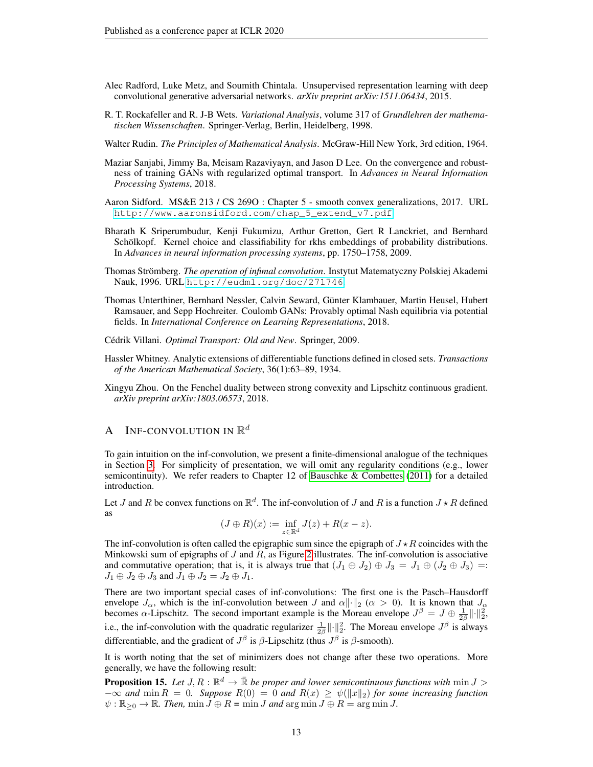- <span id="page-12-4"></span>Alec Radford, Luke Metz, and Soumith Chintala. Unsupervised representation learning with deep convolutional generative adversarial networks. *arXiv preprint arXiv:1511.06434*, 2015.
- <span id="page-12-2"></span>R. T. Rockafeller and R. J-B Wets. *Variational Analysis*, volume 317 of *Grundlehren der mathematischen Wissenschaften*. Springer-Verlag, Berlin, Heidelberg, 1998.
- <span id="page-12-11"></span>Walter Rudin. *The Principles of Mathematical Analysis*. McGraw-Hill New York, 3rd edition, 1964.
- <span id="page-12-1"></span>Maziar Sanjabi, Jimmy Ba, Meisam Razaviyayn, and Jason D Lee. On the convergence and robustness of training GANs with regularized optimal transport. In *Advances in Neural Information Processing Systems*, 2018.
- <span id="page-12-10"></span>Aaron Sidford. MS&E 213 / CS 269O : Chapter 5 - smooth convex generalizations, 2017. URL [http://www.aaronsidford.com/chap\\_5\\_extend\\_v7.pdf](http://www.aaronsidford.com/chap_5_extend_v7.pdf).
- <span id="page-12-6"></span>Bharath K Sriperumbudur, Kenji Fukumizu, Arthur Gretton, Gert R Lanckriet, and Bernhard Schölkopf. Kernel choice and classifiability for rkhs embeddings of probability distributions. In *Advances in neural information processing systems*, pp. 1750–1758, 2009.
- <span id="page-12-8"></span>Thomas Strömberg. The operation of infimal convolution. Instytut Matematyczny Polskiej Akademi Nauk, 1996. URL <http://eudml.org/doc/271746>.
- <span id="page-12-0"></span>Thomas Unterthiner, Bernhard Nessler, Calvin Seward, Gunter Klambauer, Martin Heusel, Hubert ¨ Ramsauer, and Sepp Hochreiter. Coulomb GANs: Provably optimal Nash equilibria via potential fields. In *International Conference on Learning Representations*, 2018.
- <span id="page-12-5"></span>Cédrik Villani. Optimal Transport: Old and New. Springer, 2009.
- <span id="page-12-3"></span>Hassler Whitney. Analytic extensions of differentiable functions defined in closed sets. *Transactions of the American Mathematical Society*, 36(1):63–89, 1934.
- <span id="page-12-9"></span>Xingyu Zhou. On the Fenchel duality between strong convexity and Lipschitz continuous gradient. *arXiv preprint arXiv:1803.06573*, 2018.

# A INF-CONVOLUTION IN  $\mathbb{R}^d$

To gain intuition on the inf-convolution, we present a finite-dimensional analogue of the techniques in Section [3.](#page-4-1) For simplicity of presentation, we will omit any regularity conditions (e.g., lower semicontinuity). We refer readers to Chapter 12 of [Bauschke & Combettes](#page-10-12)  $(2011)$  for a detailed introduction.

Let J and R be convex functions on  $\mathbb{R}^d$ . The inf-convolution of J and R is a function  $J \star R$  defined as

$$
(J \oplus R)(x) := \inf_{z \in \mathbb{R}^d} J(z) + R(x - z).
$$

The inf-convolution is often called the epigraphic sum since the epigraph of  $J \star R$  coincides with the Minkowski sum of epigraphs of  $J$  and  $R$ , as Figure [2](#page-13-1) illustrates. The inf-convolution is associative and commutative operation; that is, it is always true that  $(J_1 \oplus J_2) \oplus J_3 = J_1 \oplus (J_2 \oplus J_3) =$  $J_1 \oplus J_2 \oplus J_3$  and  $J_1 \oplus J_2 = J_2 \oplus J_1$ .

There are two important special cases of inf-convolutions: The first one is the Pasch–Hausdorff envelope  $J_{\alpha}$ , which is the inf-convolution between  $J$  and  $\alpha ||\cdot||_2$  ( $\alpha > 0$ ). It is known that  $J_{\alpha}$  becomes  $\alpha$ -Lipschitz. The second important example is the Moreau envelope  $J^{\beta} = J \oplus \frac{1}{2\beta} ||\cdot||_2^2$ , i.e., the inf-convolution with the quadratic regularizer  $\frac{1}{2\beta} ||\cdot||_2^2$ . The Moreau envelope  $J^{\beta}$  is always differentiable, and the gradient of  $J^{\beta}$  is  $\beta$ -Lipschitz (thus  $J^{\beta}$  is  $\beta$ -smooth).

It is worth noting that the set of minimizers does not change after these two operations. More generally, we have the following result:

<span id="page-12-7"></span>**Proposition 15.** Let  $J, R : \mathbb{R}^d \to \bar{\mathbb{R}}$  be proper and lower semicontinuous functions with  $\min J >$  $-\infty$  *and* min  $R = 0$ *. Suppose*  $R(0) = 0$  *and*  $R(x) \ge \psi(||x||_2)$  for some increasing function  $\psi : \mathbb{R}_{\geq 0} \to \mathbb{R}$ . Then,  $\min J \oplus R = \min J$  and  $\arg \min J \oplus R = \arg \min J$ .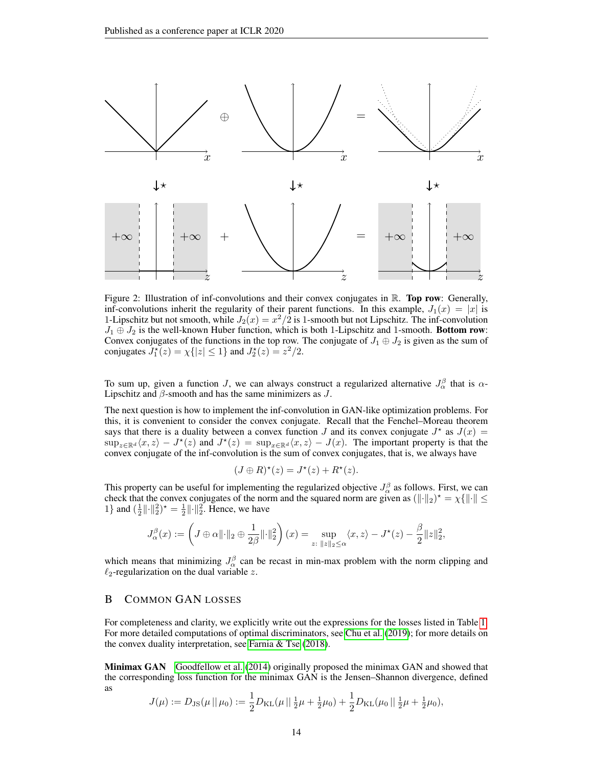<span id="page-13-1"></span>

Figure 2: Illustration of inf-convolutions and their convex conjugates in  $\mathbb{R}$ . **Top row**: Generally, inf-convolutions inherit the regularity of their parent functions. In this example,  $J_1(x) = |x|$  is 1-Lipschitz but not smooth, while  $J_2(x) = x^2/2$  is 1-smooth but not Lipschitz. The inf-convolution  $J_1 \oplus J_2$  is the well-known Huber function, which is both 1-Lipschitz and 1-smooth. Bottom row: Convex conjugates of the functions in the top row. The conjugate of  $J_1 \oplus J_2$  is given as the sum of conjugates  $J_1^*(z) = \chi\{|z| \le 1\}$  and  $J_2^*(z) = z^2/2$ .

To sum up, given a function J, we can always construct a regularized alternative  $J_{\alpha}^{\beta}$  that is  $\alpha$ -Lipschitz and  $\beta$ -smooth and has the same minimizers as  $J$ .

The next question is how to implement the inf-convolution in GAN-like optimization problems. For this, it is convenient to consider the convex conjugate. Recall that the Fenchel–Moreau theorem says that there is a duality between a convex function J and its convex conjugate  $J^*$  as  $J(x)$  =  $\sup_{z\in\mathbb{R}^d} \langle x, z \rangle - J^*(z)$  and  $J^*(z) = \sup_{x\in\mathbb{R}^d} \langle x, z \rangle - J(x)$ . The important property is that the convex conjugate of the inf-convolution is the sum of convex conjugates, that is, we always have

$$
(J \oplus R)^{\star}(z) = J^{\star}(z) + R^{\star}(z).
$$

This property can be useful for implementing the regularized objective  $J_{\alpha}^{\beta}$  as follows. First, we can check that the convex conjugates of the norm and the squared norm are given as  $(\|\cdot\|_2)^* = \chi \{\|\cdot\| \leq$ 1} and  $(\frac{1}{2} \|\cdot\|_2^2)^* = \frac{1}{2} \|\cdot\|_2^2$ . Hence, we have

$$
J_{\alpha}^{\beta}(x):=\left(J\oplus \alpha\|\cdot\|_2\oplus \frac{1}{2\beta}\|\cdot\|_2^2\right)(x)=\sup_{z:\;\|z\|_2\leq \alpha}\langle x,z\rangle-J^{\star}(z)-\frac{\beta}{2}\|z\|_2^2,
$$

which means that minimizing  $J_{\alpha}^{\beta}$  can be recast in min-max problem with the norm clipping and  $\ell_2$ -regularization on the dual variable z.

# <span id="page-13-0"></span>B COMMON GAN LOSSES

For completeness and clarity, we explicitly write out the expressions for the losses listed in Table [1.](#page-2-1) For more detailed computations of optimal discriminators, see [Chu et al.](#page-10-8) [\(2019\)](#page-10-8); for more details on the convex duality interpretation, see [Farnia & Tse](#page-10-7) [\(2018\)](#page-10-7).

Minimax GAN [Goodfellow et al.](#page-10-0) [\(2014\)](#page-10-0) originally proposed the minimax GAN and showed that the corresponding loss function for the minimax GAN is the Jensen–Shannon divergence, defined as

$$
J(\mu) := D_{\text{JS}}(\mu \,||\, \mu_0) := \frac{1}{2} D_{\text{KL}}(\mu \,||\, \frac{1}{2}\mu + \frac{1}{2}\mu_0) + \frac{1}{2} D_{\text{KL}}(\mu_0 \,||\, \frac{1}{2}\mu + \frac{1}{2}\mu_0),
$$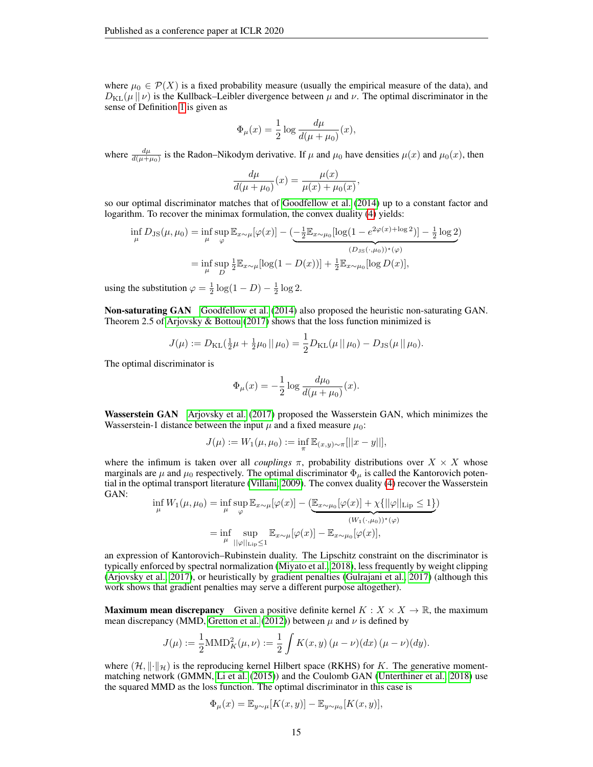where  $\mu_0 \in \mathcal{P}(X)$  is a fixed probability measure (usually the empirical measure of the data), and  $D_{\text{KL}}(\mu || \nu)$  is the Kullback–Leibler divergence between  $\mu$  and  $\nu$ . The optimal discriminator in the sense of Definition [1](#page-2-4) is given as

$$
\Phi_{\mu}(x) = \frac{1}{2} \log \frac{d\mu}{d(\mu + \mu_0)}(x),
$$

where  $\frac{d\mu}{d(\mu+\mu_0)}$  is the Radon–Nikodym derivative. If  $\mu$  and  $\mu_0$  have densities  $\mu(x)$  and  $\mu_0(x)$ , then

$$
\frac{d\mu}{d(\mu + \mu_0)}(x) = \frac{\mu(x)}{\mu(x) + \mu_0(x)},
$$

so our optimal discriminator matches that of [Goodfellow et al.](#page-10-0) [\(2014\)](#page-10-0) up to a constant factor and logarithm. To recover the minimax formulation, the convex duality [\(4\)](#page-2-3) yields:

$$
\inf_{\mu} D_{\text{JS}}(\mu, \mu_0) = \inf_{\mu} \sup_{\varphi} \mathbb{E}_{x \sim \mu} [\varphi(x)] - \underbrace{(-\frac{1}{2} \mathbb{E}_{x \sim \mu_0} [\log(1 - e^{2\varphi(x) + \log 2})] - \frac{1}{2} \log 2)}_{(D_{\text{JS}}(\cdot, \mu_0))^*(\varphi)}
$$
\n
$$
= \inf_{\mu} \sup_{D} \frac{1}{2} \mathbb{E}_{x \sim \mu} [\log(1 - D(x))] + \frac{1}{2} \mathbb{E}_{x \sim \mu_0} [\log D(x)],
$$

using the substitution  $\varphi = \frac{1}{2} \log(1 - D) - \frac{1}{2} \log 2$ .

Non-saturating GAN [Goodfellow et al.](#page-10-0) [\(2014\)](#page-10-0) also proposed the heuristic non-saturating GAN. Theorem 2.5 of [Arjovsky & Bottou](#page-10-5) [\(2017\)](#page-10-5) shows that the loss function minimized is

$$
J(\mu) := D_{\mathrm{KL}}(\frac{1}{2}\mu + \frac{1}{2}\mu_0 \|\mu_0) = \frac{1}{2}D_{\mathrm{KL}}(\mu \|\mu_0) - D_{\mathrm{JS}}(\mu \|\mu_0).
$$

The optimal discriminator is

$$
\Phi_{\mu}(x) = -\frac{1}{2} \log \frac{d\mu_0}{d(\mu + \mu_0)}(x).
$$

Wasserstein GAN [Arjovsky et al.](#page-10-1) [\(2017\)](#page-10-1) proposed the Wasserstein GAN, which minimizes the Wasserstein-1 distance between the input  $\mu$  and a fixed measure  $\mu_0$ :

$$
J(\mu):=W_1(\mu,\mu_0):=\inf_{\pi}\mathbb{E}_{(x,y)\sim\pi}[||x-y||],
$$

where the infimum is taken over all *couplings*  $\pi$ , probability distributions over  $X \times X$  whose marginals are  $\mu$  and  $\mu_0$  respectively. The optimal discriminator  $\Phi_{\mu}$  is called the Kantorovich potential in the optimal transport literature [\(Villani, 2009\)](#page-12-5). The convex duality [\(4\)](#page-2-3) recover the Wasserstein GAN:

$$
\inf_{\mu} W_1(\mu, \mu_0) = \inf_{\mu} \sup_{\varphi} \mathbb{E}_{x \sim \mu}[\varphi(x)] - (\underbrace{\mathbb{E}_{x \sim \mu_0}[\varphi(x)] + \chi\{||\varphi||_{\text{Lip}} \le 1\}}_{(W_1(\cdot, \mu_0))^*(\varphi)})
$$
\n
$$
= \inf_{\mu} \sup_{||\varphi||_{\text{Lip}} \le 1} \mathbb{E}_{x \sim \mu}[\varphi(x)] - \mathbb{E}_{x \sim \mu_0}[\varphi(x)],
$$

an expression of Kantorovich–Rubinstein duality. The Lipschitz constraint on the discriminator is typically enforced by spectral normalization [\(Miyato et al., 2018\)](#page-11-1), less frequently by weight clipping [\(Arjovsky et al., 2017\)](#page-10-1), or heuristically by gradient penalties [\(Gulrajani et al., 2017\)](#page-11-0) (although this work shows that gradient penalties may serve a different purpose altogether).

**Maximum mean discrepancy** Given a positive definite kernel  $K : X \times X \to \mathbb{R}$ , the maximum mean discrepancy (MMD, [Gretton et al.](#page-10-13) [\(2012\)](#page-10-13)) between  $\mu$  and  $\nu$  is defined by

$$
J(\mu) := \frac{1}{2} \text{MMD}_{K}^{2}(\mu, \nu) := \frac{1}{2} \int K(x, y) (\mu - \nu)(dx) (\mu - \nu)(dy).
$$

where  $(\mathcal{H}, \|\cdot\|_{\mathcal{H}})$  is the reproducing kernel Hilbert space (RKHS) for K. The generative momentmatching network (GMMN, [Li et al.](#page-11-5) [\(2015\)](#page-11-5)) and the Coulomb GAN [\(Unterthiner et al., 2018\)](#page-12-0) use the squared MMD as the loss function. The optimal discriminator in this case is

$$
\Phi_{\mu}(x) = \mathbb{E}_{y \sim \mu}[K(x, y)] - \mathbb{E}_{y \sim \mu_0}[K(x, y)],
$$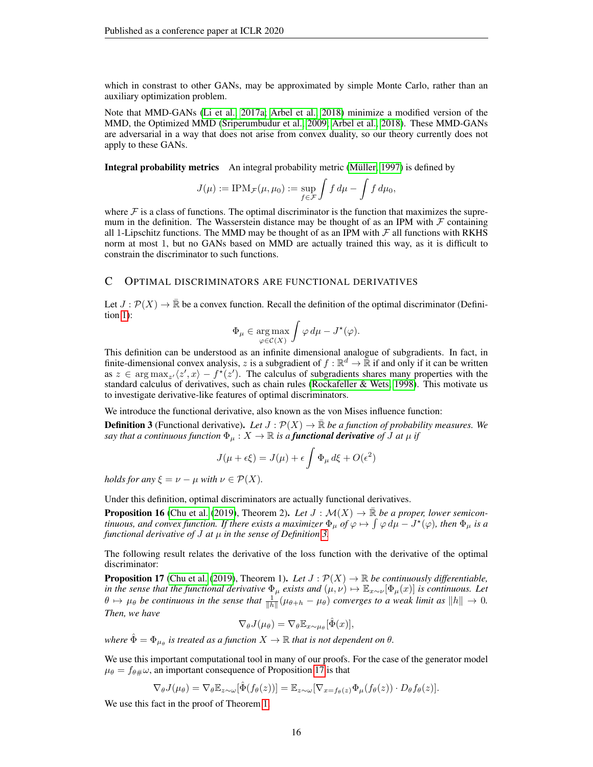which in constrast to other GANs, may be approximated by simple Monte Carlo, rather than an auxiliary optimization problem.

Note that MMD-GANs [\(Li et al., 2017a;](#page-11-18) [Arbel et al., 2018\)](#page-10-14) minimize a modified version of the MMD, the Optimized MMD [\(Sriperumbudur et al., 2009;](#page-12-6) [Arbel et al., 2018\)](#page-10-14). These MMD-GANs are adversarial in a way that does not arise from convex duality, so our theory currently does not apply to these GANs.

Integral probability metrics An integral probability metric (Müller, 1997) is defined by

$$
J(\mu) := \text{IPM}_{\mathcal{F}}(\mu, \mu_0) := \sup_{f \in \mathcal{F}} \int f d\mu - \int f d\mu_0,
$$

where  $\mathcal F$  is a class of functions. The optimal discriminator is the function that maximizes the supremum in the definition. The Wasserstein distance may be thought of as an IPM with  $\mathcal F$  containing all 1-Lipschitz functions. The MMD may be thought of as an IPM with  $\mathcal F$  all functions with RKHS norm at most 1, but no GANs based on MMD are actually trained this way, as it is difficult to constrain the discriminator to such functions.

## <span id="page-15-2"></span>C OPTIMAL DISCRIMINATORS ARE FUNCTIONAL DERIVATIVES

Let  $J : \mathcal{P}(X) \to \mathbb{R}$  be a convex function. Recall the definition of the optimal discriminator (Definition [1\)](#page-2-4):

$$
\Phi_{\mu} \in \underset{\varphi \in \mathcal{C}(X)}{\arg \max} \int \varphi \, d\mu - J^{\star}(\varphi).
$$

This definition can be understood as an infinite dimensional analogue of subgradients. In fact, in finite-dimensional convex analysis, z is a subgradient of  $f : \mathbb{R}^d \to \overline{\mathbb{R}}$  if and only if it can be written as  $z \in \arg \max_{z'} \langle z', x \rangle - f^*(z')$ . The calculus of subgradients shares many properties with the standard calculus of derivatives, such as chain rules [\(Rockafeller & Wets, 1998\)](#page-12-2). This motivate us to investigate derivative-like features of optimal discriminators.

We introduce the functional derivative, also known as the von Mises influence function:

<span id="page-15-0"></span>**Definition 3** (Functional derivative). Let  $J : \mathcal{P}(X) \to \mathbb{R}$  be a function of probability measures. We *say that a continuous function*  $\Phi_{\mu}: X \to \mathbb{R}$  *is a functional derivative of*  $\tilde{J}$  *at*  $\mu$  *if* 

$$
J(\mu + \epsilon \xi) = J(\mu) + \epsilon \int \Phi_{\mu} d\xi + O(\epsilon^2)
$$

*holds for any*  $\xi = \nu - \mu$  *with*  $\nu \in \mathcal{P}(X)$ *.* 

Under this definition, optimal discriminators are actually functional derivatives.

**Proposition 16** [\(Chu et al.](#page-10-8) [\(2019\)](#page-10-8), Theorem 2). Let  $J : \mathcal{M}(X) \to \mathbb{R}$  be a proper, lower semicon*tinuous, and convex function. If there exists a maximizer*  $\Phi_\mu$  *of*  $\varphi \mapsto \int \varphi \, d\mu - J^\star(\varphi)$ *, then*  $\Phi_\mu$  *is a functional derivative of* J *at* µ *in the sense of Definition [3.](#page-15-0)*

The following result relates the derivative of the loss function with the derivative of the optimal discriminator:

<span id="page-15-1"></span>**Proposition 17** [\(Chu et al.](#page-10-8) [\(2019\)](#page-10-8), Theorem 1). Let  $J : \mathcal{P}(X) \to \mathbb{R}$  be continuously differentiable, *in the sense that the functional derivative*  $\Phi_\mu$  *exists and*  $(\mu, \nu) \mapsto \mathbb{E}_{x \sim \nu}[\Phi_\mu(x)]$  *is continuous. Let*  $\theta \mapsto \mu_\theta$  be continuous in the sense that  $\frac{1}{\|h\|}(\mu_{\theta+h} - \mu_\theta)$  converges to a weak limit as  $\|h\| \to 0$ . *Then, we have*

$$
\nabla_{\theta} J(\mu_{\theta}) = \nabla_{\theta} \mathbb{E}_{x \sim \mu_{\theta}}[\hat{\Phi}(x)],
$$

where  $\hat{\Phi} = \Phi_{\mu_{\theta}}$  is treated as a function  $X \to \mathbb{R}$  that is not dependent on  $\theta$ .

We use this important computational tool in many of our proofs. For the case of the generator model  $\mu_{\theta} = f_{\theta\#}\omega$ , an important consequence of Proposition [17](#page-15-1) is that

$$
\nabla_{\theta} J(\mu_{\theta}) = \nabla_{\theta} \mathbb{E}_{z \sim \omega}[\hat{\Phi}(f_{\theta}(z))] = \mathbb{E}_{z \sim \omega}[\nabla_{x = f_{\theta}(z)} \Phi_{\mu}(f_{\theta}(z)) \cdot D_{\theta} f_{\theta}(z)].
$$

We use this fact in the proof of Theorem [1.](#page-3-0)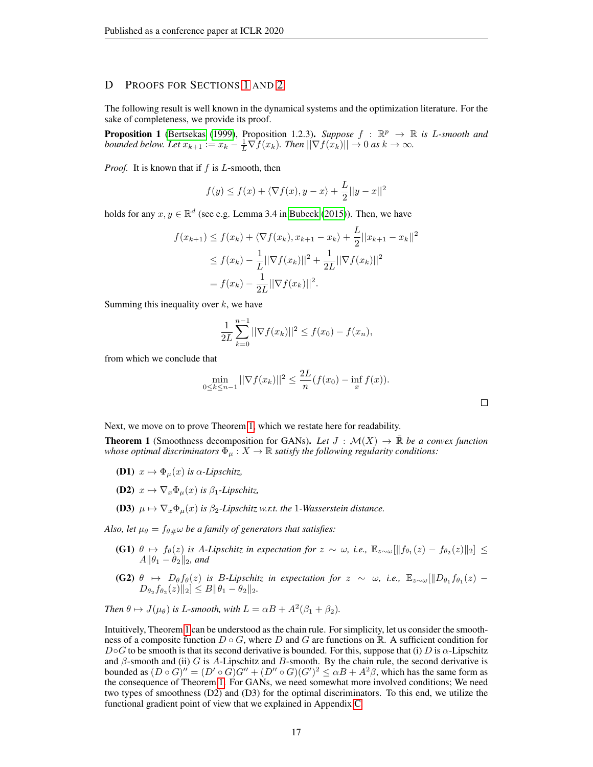# D PROOFS FOR SECTIONS [1](#page-0-1) AND [2](#page-2-2)

The following result is well known in the dynamical systems and the optimization literature. For the sake of completeness, we provide its proof.

**Proposition 1** [\(Bertsekas](#page-10-4) [\(1999\)](#page-10-4), Proposition 1.2.3). *Suppose*  $f : \mathbb{R}^p \to \mathbb{R}$  is *L*-smooth and *bounded below. Let*  $x_{k+1} := x_k - \frac{1}{L} \nabla f(x_k)$ *. Then*  $||\nabla f(x_k)|| \to 0$  *as*  $k \to \infty$ *.* 

*Proof.* It is known that if f is L-smooth, then

$$
f(y) \le f(x) + \langle \nabla f(x), y - x \rangle + \frac{L}{2} ||y - x||^2
$$

holds for any  $x, y \in \mathbb{R}^d$  (see e.g. Lemma 3.4 in [Bubeck](#page-10-15) [\(2015\)](#page-10-15)). Then, we have

$$
f(x_{k+1}) \le f(x_k) + \langle \nabla f(x_k), x_{k+1} - x_k \rangle + \frac{L}{2} ||x_{k+1} - x_k||^2
$$
  
\n
$$
\le f(x_k) - \frac{1}{L} ||\nabla f(x_k)||^2 + \frac{1}{2L} ||\nabla f(x_k)||^2
$$
  
\n
$$
= f(x_k) - \frac{1}{2L} ||\nabla f(x_k)||^2.
$$

Summing this inequality over  $k$ , we have

$$
\frac{1}{2L} \sum_{k=0}^{n-1} ||\nabla f(x_k)||^2 \le f(x_0) - f(x_n),
$$

from which we conclude that

$$
\min_{0 \le k \le n-1} ||\nabla f(x_k)||^2 \le \frac{2L}{n} (f(x_0) - \inf_x f(x)).
$$

Next, we move on to prove Theorem [1,](#page-3-0) which we restate here for readability.

**Theorem 1** (Smoothness decomposition for GANs). Let  $J : \mathcal{M}(X) \to \mathbb{R}$  be a convex function *whose optimal discriminators*  $\Phi_{\mu}: X \to \mathbb{R}$  *satisfy the following regularity conditions:* 

- **(D1)**  $x \mapsto \Phi_{\mu}(x)$  *is*  $\alpha$ -*Lipschitz*,
- (D2)  $x \mapsto \nabla_x \Phi_u(x)$  *is*  $\beta_1$ -*Lipschitz*,
- (D3)  $\mu \mapsto \nabla_x \Phi_u(x)$  *is*  $\beta_2$ -Lipschitz w.r.t. the 1-Wasserstein distance.

*Also, let*  $\mu_{\theta} = f_{\theta\#} \omega$  *be a family of generators that satisfies:* 

- (G1)  $\theta \mapsto f_{\theta}(z)$  *is A-Lipschitz in expectation for*  $z \sim \omega$ *, i.e.*,  $\mathbb{E}_{z \sim \omega}[\|f_{\theta_1}(z) f_{\theta_2}(z)\|_2]$  ≤  $A\|\theta_1 - \theta_2\|_2$ *, and*
- (G2)  $\theta \mapsto D_{\theta}f_{\theta}(z)$  *is B-Lipschitz in expectation for*  $z \sim \omega$ *, i.e.,*  $\mathbb{E}_{z \sim \omega}[\Vert D_{\theta_1}f_{\theta_1}(z) D_{\theta_2} f_{\theta_2}(z) \|_2 \leq B \|\theta_1 - \theta_2\|_2.$

Then 
$$
\theta \mapsto J(\mu_{\theta})
$$
 is L-smooth, with  $L = \alpha B + A^2(\beta_1 + \beta_2)$ .

Intuitively, Theorem [1](#page-3-0) can be understood as the chain rule. For simplicity, let us consider the smoothness of a composite function  $D \circ G$ , where D and G are functions on R. A sufficient condition for  $D \circ G$  to be smooth is that its second derivative is bounded. For this, suppose that (i) D is  $\alpha$ -Lipschitz and  $\beta$ -smooth and (ii) G is A-Lipschitz and B-smooth. By the chain rule, the second derivative is bounded as  $(D \circ G)'' = (D' \circ G)G'' + (D'' \circ G)(G')^2 \leq \alpha B + A^2 \beta$ , which has the same form as the consequence of Theorem [1.](#page-3-0) For GANs, we need somewhat more involved conditions; We need two types of smoothness (D2) and (D3) for the optimal discriminators. To this end, we utilize the functional gradient point of view that we explained in Appendix [C.](#page-15-2)

 $\Box$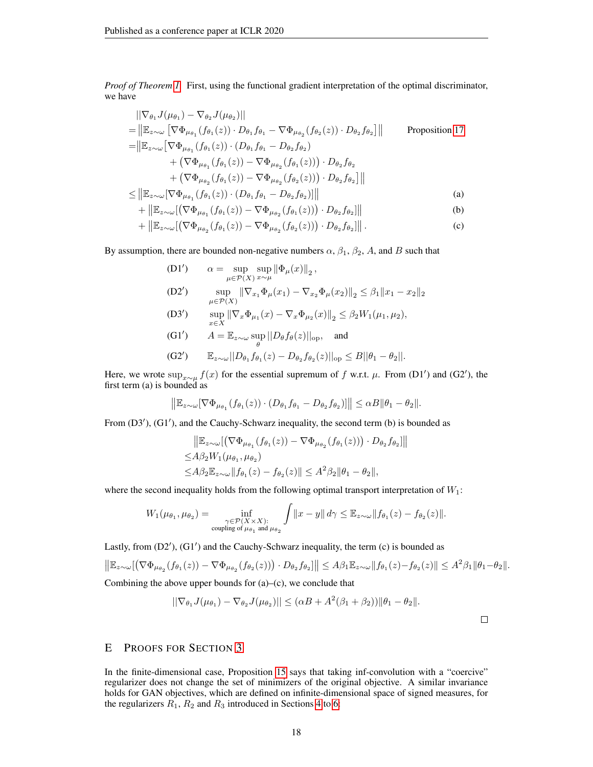*Proof of Theorem [1.](#page-3-0)* First, using the functional gradient interpretation of the optimal discriminator, we have

$$
\|\nabla_{\theta_{1}}J(\mu_{\theta_{1}}) - \nabla_{\theta_{2}}J(\mu_{\theta_{2}})\| \n= \|\mathbb{E}_{z\sim\omega}\left[\nabla\Phi_{\mu_{\theta_{1}}}(f_{\theta_{1}}(z)) \cdot D_{\theta_{1}}f_{\theta_{1}} - \nabla\Phi_{\mu_{\theta_{2}}}(f_{\theta_{2}}(z)) \cdot D_{\theta_{2}}f_{\theta_{2}}\right]\| \qquad \text{Proposition 17} \n= \|\mathbb{E}_{z\sim\omega}\left[\nabla\Phi_{\mu_{\theta_{1}}}(f_{\theta_{1}}(z)) \cdot (D_{\theta_{1}}f_{\theta_{1}} - D_{\theta_{2}}f_{\theta_{2}}) \right. \n+ \left(\nabla\Phi_{\mu_{\theta_{1}}}(f_{\theta_{1}}(z)) - \nabla\Phi_{\mu_{\theta_{2}}}(f_{\theta_{1}}(z))\right) \cdot D_{\theta_{2}}f_{\theta_{2}} \n+ \left(\nabla\Phi_{\mu_{\theta_{2}}}(f_{\theta_{1}}(z)) - \nabla\Phi_{\mu_{\theta_{2}}}(f_{\theta_{2}}(z))\right) \cdot D_{\theta_{2}}f_{\theta_{2}}\right]\| \n\leq \|\mathbb{E}_{z\sim\omega}[\nabla\Phi_{\mu_{\theta_{1}}}(f_{\theta_{1}}(z)) \cdot (D_{\theta_{1}}f_{\theta_{1}} - D_{\theta_{2}}f_{\theta_{2}})\| \qquad (a)
$$

$$
+ \| \mathbb{E}_{z \sim \omega} [ (\nabla \Phi_{\mu_{\theta_1}} (f_{\theta_1}(z)) - \nabla \Phi_{\mu_{\theta_2}} (f_{\theta_1}(z)) ) \cdot D_{\theta_2} f_{\theta_2}] \|
$$
 (b)

$$
+ \| \mathbb{E}_{z \sim \omega} [ (\nabla \Phi_{\mu_{\theta_2}} (f_{\theta_1}(z)) - \nabla \Phi_{\mu_{\theta_2}} (f_{\theta_2}(z)) ) \cdot D_{\theta_2} f_{\theta_2} ] \| .
$$
 (c)

By assumption, there are bounded non-negative numbers  $\alpha$ ,  $\beta_1$ ,  $\beta_2$ , A, and B such that

(D1') 
$$
\alpha = \sup_{\mu \in \mathcal{P}(X)} \sup_{x \sim \mu} \|\Phi_{\mu}(x)\|_{2},
$$
  
(D2') 
$$
\sup_{\mu \in \mathcal{P}(X)} \|\nabla_{x_{1}} \Phi_{\mu}(x_{1}) - \nabla_{x_{2}} \Phi_{\mu}(x_{2})\|_{2} \leq \beta_{1} \|x_{1} - x_{2}\|_{2}
$$

 $(D3')$  $\sup_{x \in X} \|\nabla_x \Phi_{\mu_1}(x) - \nabla_x \Phi_{\mu_2}(x)\|_2 \leq \beta_2 W_1(\mu_1, \mu_2),$ 

(G1') 
$$
A = \mathbb{E}_{z \sim \omega} \sup_{\theta} ||D_{\theta} f_{\theta}(z)||_{\text{op}}, \text{ and}
$$
  
(G2') 
$$
\mathbb{E}_{z \sim \omega} ||D_{\theta_1} f_{\theta_1}(z) - D_{\theta_2} f_{\theta_2}(z)||_{\text{op}} \leq B ||\theta_1 - \theta_2||.
$$

Here, we wrote 
$$
\sup_{x\sim\mu} f(x)
$$
 for the essential supremum of f w.r.t.  $\mu$ . From (D1') and (G2'), the first term (a) is bounded as

$$
\left\|\mathbb{E}_{z\sim\omega}[\nabla\Phi_{\mu_{\theta_1}}(f_{\theta_1}(z))\cdot(D_{\theta_1}f_{\theta_1}-D_{\theta_2}f_{\theta_2})]\right\|\leq\alpha B\|\theta_1-\theta_2\|.
$$

From (D3'), (G1'), and the Cauchy-Schwarz inequality, the second term (b) is bounded as

$$
\|\mathbb{E}_{z \sim \omega}[(\nabla \Phi_{\mu_{\theta_1}}(f_{\theta_1}(z)) - \nabla \Phi_{\mu_{\theta_2}}(f_{\theta_1}(z)) \cdot D_{\theta_2} f_{\theta_2}] \| \leq A\beta_2 W_1(\mu_{\theta_1}, \mu_{\theta_2}) \leq A\beta_2 \mathbb{E}_{z \sim \omega} \|f_{\theta_1}(z) - f_{\theta_2}(z) \| \leq A^2 \beta_2 \|\theta_1 - \theta_2\|,
$$

where the second inequality holds from the following optimal transport interpretation of  $W_1$ :

$$
W_1(\mu_{\theta_1}, \mu_{\theta_2}) = \inf_{\substack{\gamma \in \mathcal{P}(X \times X): \\ \text{coupling of } \mu_{\theta_1} \text{ and } \mu_{\theta_2}}} \int ||x - y|| \, d\gamma \leq \mathbb{E}_{z \sim \omega} ||f_{\theta_1}(z) - f_{\theta_2}(z)||.
$$

Lastly, from  $(D2')$ ,  $(G1')$  and the Cauchy-Schwarz inequality, the term  $(c)$  is bounded as

$$
\left\|\mathbb{E}_{z\sim\omega}\left[\left(\nabla\Phi_{\mu_{\theta_2}}(f_{\theta_1}(z)) - \nabla\Phi_{\mu_{\theta_2}}(f_{\theta_2}(z))\right) \cdot D_{\theta_2}f_{\theta_2}\right]\right\| \leq A\beta_1\mathbb{E}_{z\sim\omega}\|f_{\theta_1}(z) - f_{\theta_2}(z)\| \leq A^2\beta_1\|\theta_1 - \theta_2\|.
$$

Combining the above upper bounds for  $(a)$ – $(c)$ , we conclude that

$$
||\nabla_{\theta_1} J(\mu_{\theta_1}) - \nabla_{\theta_2} J(\mu_{\theta_2})|| \leq (\alpha B + A^2(\beta_1 + \beta_2)) ||\theta_1 - \theta_2||.
$$

 $\Box$ 

# E PROOFS FOR SECTION [3](#page-4-1)

In the finite-dimensional case, Proposition [15](#page-12-7) says that taking inf-convolution with a "coercive" regularizer does not change the set of minimizers of the original objective. A similar invariance holds for GAN objectives, which are defined on infinite-dimensional space of signed measures, for the regularizers  $R_1$ ,  $R_2$  and  $R_3$  introduced in Sections [4](#page-5-0) to [6:](#page-7-0)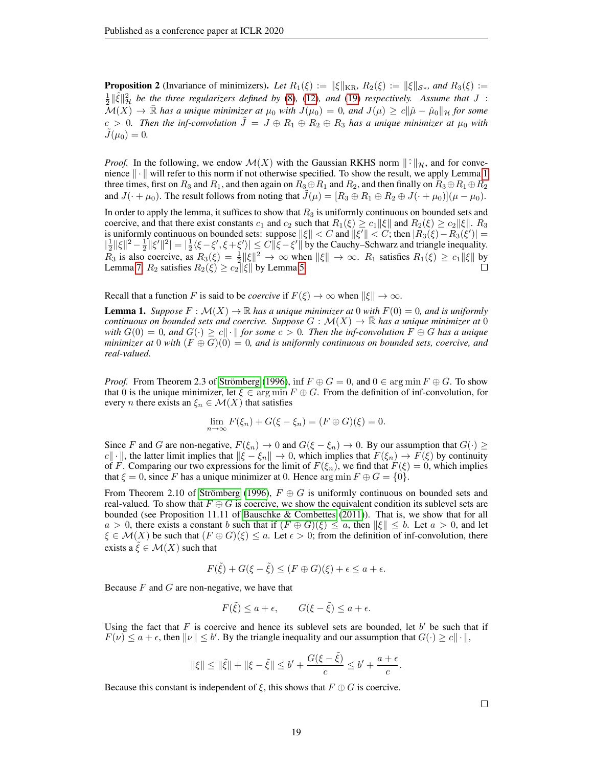**Proposition 2** (Invariance of minimizers). Let  $R_1(\xi) := ||\xi||_{\text{KR}}, R_2(\xi) := ||\xi||_{S_*},$  and  $R_3(\xi) :=$  $\frac{1}{2}$   $\|\hat{\xi}\|_{\mathcal{H}}^2$  be the three regularizers defined by [\(8\)](#page-5-1), [\(12\)](#page-6-0), and [\(19\)](#page-7-1) *respectively.* Assume that J :  $\mathcal{M}(X) \to \mathbb{R}$  *has a unique minimizer at*  $\mu_0$  *with*  $J(\mu_0) = 0$ *, and*  $J(\mu) \ge c \|\hat{\mu} - \hat{\mu}_0\|$  *H* for some  $c > 0$ . Then the inf-convolution  $\tilde{J} = J \oplus R_1 \oplus R_2 \oplus R_3$  has a unique minimizer at  $\mu_0$  with  $J(\mu_0) = 0.$ 

*Proof.* In the following, we endow  $\mathcal{M}(X)$  with the Gaussian RKHS norm  $\|\hat{\cdot}\|_{\mathcal{H}}$ , and for convenience  $\|\cdot\|$  will refer to this norm if not otherwise specified. To show the result, we apply Lemma [1](#page-18-0) three times, first on  $R_3$  and  $R_1$ , and then again on  $R_3 \oplus R_1$  and  $R_2$ , and then finally on  $R_3 \oplus R_1 \oplus R_2$ and  $J(\cdot + \mu_0)$ . The result follows from noting that  $\tilde{J}(\mu) = [R_3 \oplus R_1 \oplus R_2 \oplus J(\cdot + \mu_0)](\mu - \mu_0)$ .

In order to apply the lemma, it suffices to show that  $R_3$  is uniformly continuous on bounded sets and coercive, and that there exist constants  $c_1$  and  $c_2$  such that  $R_1(\xi) \geq c_1 ||\xi||$  and  $R_2(\xi) \geq c_2 ||\xi||$ .  $R_3$ is uniformly continuous on bounded sets: suppose  $\|\xi\| < C$  and  $\|\xi'\| < C$ ; then  $|R_3(\xi) - R_3(\xi')| =$  $|\frac{1}{2}||\xi||^2 - \frac{1}{2}||\xi'||^2| = |\frac{1}{2}\langle \xi - \xi', \xi + \xi' \rangle| \leq C||\xi - \xi'||$  by the Cauchy–Schwarz and triangle inequality.  $\overline{R}_3$  is also coercive, as  $R_3(\xi) = \frac{1}{2} ||\xi||^2 \to \infty$  when  $||\xi|| \to \infty$ .  $R_1$  satisfies  $R_1(\xi) \ge c_1 ||\xi||$  by Lemma [7.](#page-25-0)  $R_2$  satisfies  $R_2(\xi) \geq c_2 ||\xi||$  by Lemma [5.](#page-22-0)

Recall that a function F is said to be *coercive* if  $F(\xi) \to \infty$  when  $\|\xi\| \to \infty$ .

<span id="page-18-0"></span>**Lemma 1.** *Suppose*  $F : \mathcal{M}(X) \to \mathbb{R}$  *has a unique minimizer at* 0 *with*  $F(0) = 0$ *, and is uniformly continuous on bounded sets and coercive. Suppose*  $G : \mathcal{M}(X) \to \mathbb{R}$  *has a unique minimizer at* 0 *with*  $G(0) = 0$ , and  $G(\cdot) \geq c\|\cdot\|$  for some  $c > 0$ . Then the inf-convolution  $F \oplus G$  has a unique *minimizer at* 0 *with*  $(F \oplus G)(0) = 0$ , and is uniformly continuous on bounded sets, coercive, and *real-valued.*

*Proof.* From Theorem 2.3 of Strömberg [\(1996\)](#page-12-8), inf  $F \oplus G = 0$ , and  $0 \in \arg \min F \oplus G$ . To show that 0 is the unique minimizer, let  $\xi \in \arg \min F \oplus G$ . From the definition of inf-convolution, for every *n* there exists an  $\xi_n \in \mathcal{M}(X)$  that satisfies

$$
\lim_{n \to \infty} F(\xi_n) + G(\xi - \xi_n) = (F \oplus G)(\xi) = 0.
$$

Since F and G are non-negative,  $F(\xi_n) \to 0$  and  $G(\xi - \xi_n) \to 0$ . By our assumption that  $G(\cdot) \ge$ c|| · ||, the latter limit implies that  $\|\xi - \xi_n\| \to 0$ , which implies that  $F(\xi_n) \to F(\xi)$  by continuity of F. Comparing our two expressions for the limit of  $F(\xi_n)$ , we find that  $F(\xi) = 0$ , which implies that  $\xi = 0$ , since F has a unique minimizer at 0. Hence  $\arg \min F \oplus G = \{0\}.$ 

From Theorem 2.10 of Strömberg [\(1996\)](#page-12-8),  $F \oplus G$  is uniformly continuous on bounded sets and real-valued. To show that  $F \oplus G$  is coercive, we show the equivalent condition its sublevel sets are bounded (see Proposition 11.11 of [Bauschke & Combettes](#page-10-12) [\(2011\)](#page-10-12)). That is, we show that for all  $a > 0$ , there exists a constant b such that if  $(F \oplus G)(\xi) \leq a$ , then  $\|\xi\| \leq b$ . Let  $a > 0$ , and let  $\xi \in \mathcal{M}(X)$  be such that  $(F \oplus G)(\xi) \leq a$ . Let  $\epsilon > 0$ ; from the definition of inf-convolution, there exists a  $\tilde{\xi} \in \mathcal{M}(X)$  such that

$$
F(\tilde{\xi}) + G(\xi - \tilde{\xi}) \le (F \oplus G)(\xi) + \epsilon \le a + \epsilon.
$$

Because  $F$  and  $G$  are non-negative, we have that

$$
F(\tilde{\xi}) \le a + \epsilon, \qquad G(\xi - \tilde{\xi}) \le a + \epsilon.
$$

Using the fact that  $F$  is coercive and hence its sublevel sets are bounded, let  $b'$  be such that if  $F(\nu) \le a + \epsilon$ , then  $\|\nu\| \le b'$ . By the triangle inequality and our assumption that  $G(\cdot) \ge c \|\cdot\|$ ,

$$
\|\xi\| \le \|\tilde{\xi}\| + \|\xi - \tilde{\xi}\| \le b' + \frac{G(\xi - \tilde{\xi})}{c} \le b' + \frac{a + \epsilon}{c}.
$$

Because this constant is independent of  $\xi$ , this shows that  $F \oplus G$  is coercive.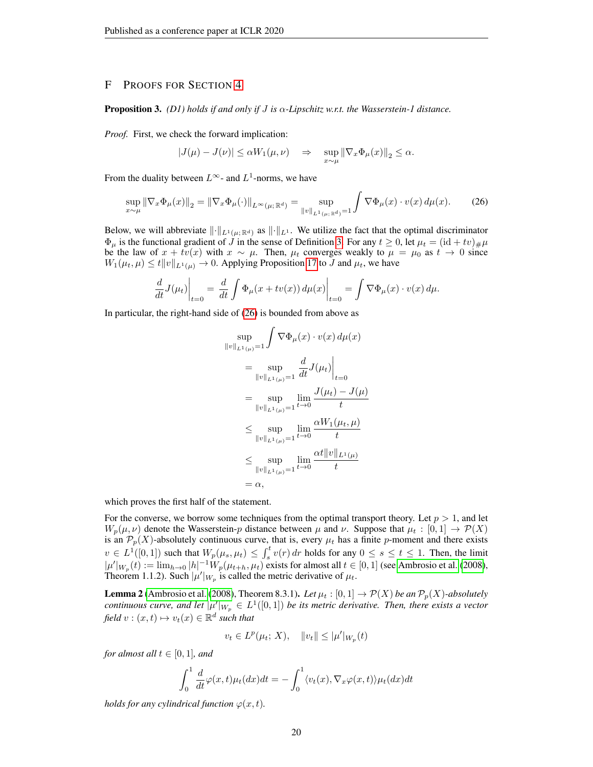# F PROOFS FOR SECTION [4](#page-5-0)

#### Proposition 3. *(D1) holds if and only if* J *is* α*-Lipschitz w.r.t. the Wasserstein-1 distance.*

*Proof.* First, we check the forward implication:

$$
|J(\mu)-J(\nu)|\leq \alpha W_1(\mu,\nu) \quad \Rightarrow \quad \sup_{x\sim \mu}\|\nabla_x\Phi_\mu(x)\|_2\leq \alpha.
$$

From the duality between  $L^{\infty}$ - and  $L^1$ -norms, we have

$$
\sup_{x \sim \mu} \|\nabla_x \Phi_\mu(x)\|_2 = \|\nabla_x \Phi_\mu(\cdot)\|_{L^\infty(\mu; \mathbb{R}^d)} = \sup_{\|v\|_{L^1(\mu; \mathbb{R}^d)} = 1} \int \nabla \Phi_\mu(x) \cdot v(x) \, d\mu(x). \tag{26}
$$

<span id="page-19-0"></span>r

Below, we will abbreviate  $\|\cdot\|_{L^1(\mu;\mathbb{R}^d)}$  as  $\|\cdot\|_{L^1}$ . We utilize the fact that the optimal discriminator  $\Phi_{\mu}$  is the functional gradient of  $\tilde{J}$  in the sense of Definition [3.](#page-15-0) For any  $t \ge 0$ , let  $\mu_t = (\mathrm{id} + tv)_{\mu} \mu$ be the law of  $x + tv(x)$  with  $x \sim \mu$ . Then,  $\mu_t$  converges weakly to  $\mu = \mu_0$  as  $t \to 0$  since  $W_1(\mu_t, \mu) \leq t \|v\|_{L^1(\mu)} \to 0$ . Applying Proposition [17](#page-15-1) to J and  $\mu_t$ , we have

$$
\frac{d}{dt}J(\mu_t)\Big|_{t=0} = \frac{d}{dt}\int \Phi_\mu(x+tv(x))\,d\mu(x)\Big|_{t=0} = \int \nabla \Phi_\mu(x)\cdot v(x)\,d\mu.
$$

In particular, the right-hand side of [\(26\)](#page-19-0) is bounded from above as

$$
\sup_{\|v\|_{L^{1}(\mu)}=1} \int \nabla \Phi_{\mu}(x) \cdot v(x) d\mu(x)
$$
\n
$$
= \sup_{\|v\|_{L^{1}(\mu)}=1} \frac{d}{dt} J(\mu_t) \Big|_{t=0}
$$
\n
$$
= \sup_{\|v\|_{L^{1}(\mu)}=1} \lim_{t \to 0} \frac{J(\mu_t) - J(\mu)}{t}
$$
\n
$$
\leq \sup_{\|v\|_{L^{1}(\mu)}=1} \lim_{t \to 0} \frac{\alpha W_1(\mu_t, \mu)}{t}
$$
\n
$$
\leq \sup_{\|v\|_{L^{1}(\mu)}=1} \lim_{t \to 0} \frac{\alpha W_1(\mu_t, \mu)}{t}
$$
\n
$$
= \sup_{\|v\|_{L^{1}(\mu)}=1} \lim_{t \to 0} \frac{\alpha t \|v\|_{L^{1}(\mu)}}{t}
$$
\n
$$
= \alpha,
$$

which proves the first half of the statement.

For the converse, we borrow some techniques from the optimal transport theory. Let  $p > 1$ , and let  $W_p(\mu, \nu)$  denote the Wasserstein-p distance between  $\mu$  and  $\nu$ . Suppose that  $\mu_t : [0,1] \to \mathcal{P}(X)$ is an  $\mathcal{P}_p(X)$ -absolutely continuous curve, that is, every  $\mu_t$  has a finite p-moment and there exists  $v \in L^1([0,1])$  such that  $W_p(\mu_s, \mu_t) \leq \int_s^t v(r) dr$  holds for any  $0 \leq s \leq t \leq 1$ . Then, the limit  $|\mu'|_{W_p}(t) := \lim_{h \to 0} |h|^{-1} W_p(\mu_{t+h}, \mu_t)$  exists for almost all  $t \in [0, 1]$  (see [Ambrosio et al.](#page-10-16) [\(2008\)](#page-10-16), Theorem 1.1.2). Such  $|\mu'|_{W_p}$  is called the metric derivative of  $\mu_t$ .

<span id="page-19-1"></span>**Lemma 2** [\(Ambrosio et al.](#page-10-16) [\(2008\)](#page-10-16), Theorem 8.3.1). Let  $\mu_t$  :  $[0,1] \to \mathcal{P}(X)$  be an  $\mathcal{P}_p(X)$ -absolutely *continuous curve, and let*  $|\mu'|_{W_p} \in L^1([0,1])$  *be its metric derivative. Then, there exists a vector*  $\text{field } v : (x, t) \mapsto v_t(x) \in \mathbb{R}^d \text{ such that}$ 

$$
v_t \in L^p(\mu_t; X), \quad ||v_t|| \leq |\mu'|_{W_p}(t)
$$

*for almost all*  $t \in [0, 1]$ *, and* 

$$
\int_0^1 \frac{d}{dt} \varphi(x, t) \mu_t(dx) dt = - \int_0^1 \langle v_t(x), \nabla_x \varphi(x, t) \rangle \mu_t(dx) dt
$$

*holds for any cylindrical function*  $\varphi(x, t)$ *.*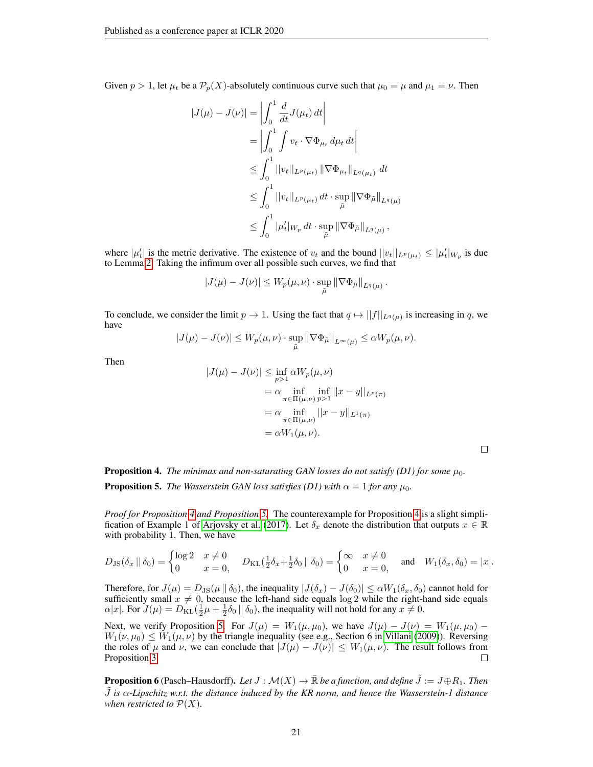Given  $p > 1$ , let  $\mu_t$  be a  $\mathcal{P}_p(X)$ -absolutely continuous curve such that  $\mu_0 = \mu$  and  $\mu_1 = \nu$ . Then

$$
|J(\mu) - J(\nu)| = \left| \int_0^1 \frac{d}{dt} J(\mu_t) dt \right|
$$
  
=  $\left| \int_0^1 \int v_t \cdot \nabla \Phi_{\mu_t} d\mu_t dt \right|$   
 $\leq \int_0^1 ||v_t||_{L^p(\mu_t)} ||\nabla \Phi_{\mu_t}||_{L^q(\mu_t)} dt$   
 $\leq \int_0^1 ||v_t||_{L^p(\mu_t)} dt \cdot \sup_{\tilde{\mu}} ||\nabla \Phi_{\tilde{\mu}}||_{L^q(\mu)}$   
 $\leq \int_0^1 |\mu_t'|_{W_p} dt \cdot \sup_{\tilde{\mu}} ||\nabla \Phi_{\tilde{\mu}}||_{L^q(\mu)},$ 

where  $|\mu'_t|$  is the metric derivative. The existence of  $v_t$  and the bound  $||v_t||_{L^p(\mu_t)} \leq |\mu'_t|_{W_p}$  is due to Lemma [2.](#page-19-1) Taking the infimum over all possible such curves, we find that

$$
|J(\mu) - J(\nu)| \leq W_p(\mu, \nu) \cdot \sup_{\tilde{\mu}} ||\nabla \Phi_{\tilde{\mu}}||_{L^q(\mu)}.
$$

To conclude, we consider the limit  $p \to 1$ . Using the fact that  $q \mapsto ||f||_{L^q(\mu)}$  is increasing in q, we have

$$
|J(\mu)-J(\nu)|\leq W_p(\mu,\nu)\cdot \sup_{\tilde \mu} \|\nabla \Phi_{\tilde \mu}\|_{L^\infty(\mu)}\leq \alpha W_p(\mu,\nu).
$$

Then

$$
|J(\mu) - J(\nu)| \le \inf_{p>1} \alpha W_p(\mu, \nu)
$$
  
=  $\alpha \inf_{\pi \in \Pi(\mu, \nu)} \inf_{p>1} ||x - y||_{L^p(\pi)}$   
=  $\alpha \inf_{\pi \in \Pi(\mu, \nu)} ||x - y||_{L^1(\pi)}$   
=  $\alpha W_1(\mu, \nu)$ .

 $\Box$ 

**Proposition 4.** The minimax and non-saturating GAN losses do not satisfy (D1) for some  $\mu_0$ . **Proposition 5.** *The Wasserstein GAN loss satisfies (D1) with*  $\alpha = 1$  *for any*  $\mu_0$ *.* 

*Proof for Proposition [4](#page-5-3) and Proposition [5.](#page-5-4)* The counterexample for Proposition [4](#page-5-3) is a slight simpli-fication of Example 1 of [Arjovsky et al.](#page-10-1) [\(2017\)](#page-10-1). Let  $\delta_x$  denote the distribution that outputs  $x \in \mathbb{R}$ with probability 1. Then, we have

$$
D_{\text{JS}}(\delta_x \mid \mid \delta_0) = \begin{cases} \log 2 & x \neq 0 \\ 0 & x = 0 \end{cases} \quad D_{\text{KL}}(\frac{1}{2}\delta_x + \frac{1}{2}\delta_0 \mid \mid \delta_0) = \begin{cases} \infty & x \neq 0 \\ 0 & x = 0 \end{cases} \quad \text{and} \quad W_1(\delta_x, \delta_0) = |x|.
$$

Therefore, for  $J(\mu) = D_{\text{JS}}(\mu \|\delta_0)$ , the inequality  $|J(\delta_x) - J(\delta_0)| \le \alpha W_1(\delta_x, \delta_0)$  cannot hold for sufficiently small  $x \neq 0$ , because the left-hand side equals log 2 while the right-hand side equals  $\alpha|x|$ . For  $J(\mu) = D_{\text{KL}}(\frac{1}{2}\mu + \frac{1}{2}\delta_0 || \delta_0)$ , the inequality will not hold for any  $x \neq 0$ .

Next, we verify Proposition [5.](#page-5-4) For  $J(\mu) = W_1(\mu, \mu_0)$ , we have  $J(\mu) - J(\nu) = W_1(\mu, \mu_0) W_1(\nu, \mu_0) \le W_1(\mu, \nu)$  by the triangle inequality (see e.g., Section 6 in [Villani](#page-12-5) [\(2009\)](#page-12-5)). Reversing the roles of  $\mu$  and  $\nu$ , we can conclude that  $|J(\mu) - J(\nu)| \leq W_1(\mu, \nu)$ . The result follows from Proposition 3. Proposition [3.](#page-5-2)

**Proposition 6** (Pasch–Hausdorff). Let  $J : \mathcal{M}(X) \to \mathbb{R}$  be a function, and define  $\tilde{J} := J \oplus R_1$ . Then J˜ *is* α*-Lipschitz w.r.t. the distance induced by the KR norm, and hence the Wasserstein-1 distance when restricted to*  $P(X)$ *.*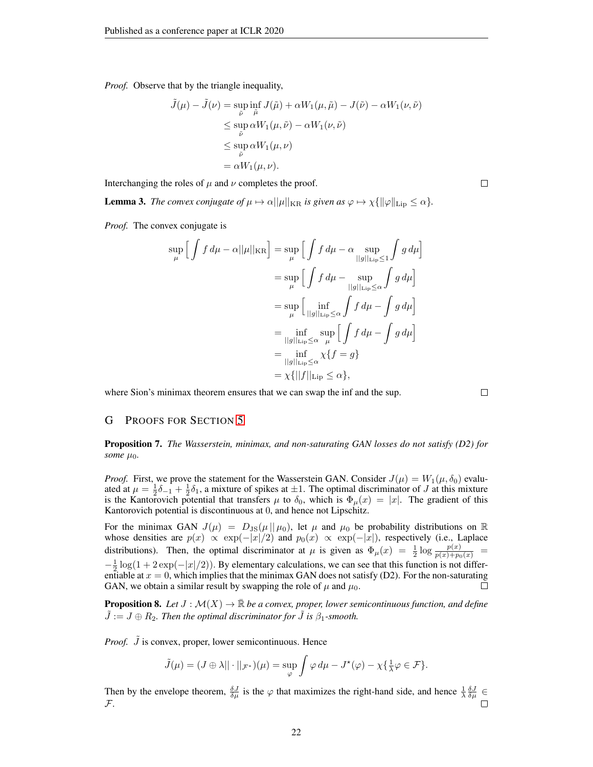*Proof.* Observe that by the triangle inequality,

$$
\tilde{J}(\mu) - \tilde{J}(\nu) = \sup_{\tilde{\nu}} \inf_{\tilde{\mu}} J(\tilde{\mu}) + \alpha W_1(\mu, \tilde{\mu}) - J(\tilde{\nu}) - \alpha W_1(\nu, \tilde{\nu})
$$
\n
$$
\leq \sup_{\tilde{\nu}} \alpha W_1(\mu, \tilde{\nu}) - \alpha W_1(\nu, \tilde{\nu})
$$
\n
$$
\leq \sup_{\tilde{\nu}} \alpha W_1(\mu, \nu)
$$
\n
$$
= \alpha W_1(\mu, \nu).
$$

Interchanging the roles of  $\mu$  and  $\nu$  completes the proof.

<span id="page-21-1"></span>**Lemma 3.** *The convex conjugate of*  $\mu \mapsto \alpha ||\mu||_{KR}$  *is given as*  $\varphi \mapsto \chi \{ ||\varphi||_{\text{Lip}} \leq \alpha \}.$ 

*Proof.* The convex conjugate is

$$
\sup_{\mu} \left[ \int f d\mu - \alpha ||\mu||_{\text{KR}} \right] = \sup_{\mu} \left[ \int f d\mu - \alpha \sup_{||g||_{\text{Lip}} \le 1} \int g d\mu \right]
$$
  

$$
= \sup_{\mu} \left[ \int f d\mu - \sup_{||g||_{\text{Lip}} \le \alpha} \int g d\mu \right]
$$
  

$$
= \sup_{\mu} \left[ \inf_{||g||_{\text{Lip}} \le \alpha} \int f d\mu - \int g d\mu \right]
$$
  

$$
= \inf_{||g||_{\text{Lip}} \le \alpha} \sup_{\mu} \left[ \int f d\mu - \int g d\mu \right]
$$
  

$$
= \inf_{||g||_{\text{Lip}} \le \alpha} \sup_{\mu} \left[ \int f d\mu - \int g d\mu \right]
$$
  

$$
= \inf_{||g||_{\text{Lip}} \le \alpha} \chi\{f = g\}
$$
  

$$
= \chi\{||f||_{\text{Lip}} \le \alpha\},
$$

where Sion's minimax theorem ensures that we can swap the inf and the sup.

 $\Box$ 

# G PROOFS FOR SECTION [5](#page-6-2)

Proposition 7. *The Wasserstein, minimax, and non-saturating GAN losses do not satisfy (D2) for some*  $\mu_0$ *.* 

*Proof.* First, we prove the statement for the Wasserstein GAN. Consider  $J(\mu) = W_1(\mu, \delta_0)$  evaluated at  $\mu = \frac{1}{2}\delta_{-1} + \frac{1}{2}\delta_1$ , a mixture of spikes at  $\pm 1$ . The optimal discriminator of J at this mixture is the Kantorovich potential that transfers  $\mu$  to  $\delta_0$ , which is  $\Phi_{\mu}(x) = |x|$ . The gradient of this Kantorovich potential is discontinuous at 0, and hence not Lipschitz.

For the minimax GAN  $J(\mu) = D_{\text{JS}}(\mu || \mu_0)$ , let  $\mu$  and  $\mu_0$  be probability distributions on R whose densities are  $p(x) \propto \exp(-|x|/2)$  and  $p_0(x) \propto \exp(-|x|)$ , respectively (i.e., Laplace distributions). Then, the optimal discriminator at  $\mu$  is given as  $\Phi_{\mu}(x) = \frac{1}{2} \log \frac{p(x)}{p(x) + p_0(x)}$  $-\frac{1}{2}\log(1+2\exp(-|x|/2))$ . By elementary calculations, we can see that this function is not differentiable at  $x = 0$ , which implies that the minimax GAN does not satisfy (D2). For the non-saturating GAN, we obtain a similar result by swapping the role of  $\mu$  and  $\mu_0$ . П

**Proposition 8.** Let  $J : \mathcal{M}(X) \to \mathbb{R}$  be a convex, proper, lower semicontinuous function, and define  $J := J \oplus R_2$ . Then the optimal discriminator for  $J$  is  $\beta_1$ -smooth.

*Proof. J* is convex, proper, lower semicontinuous. Hence

$$
\tilde{J}(\mu) = (J \oplus \lambda || \cdot ||_{\mathcal{F}^*})(\mu) = \sup_{\varphi} \int \varphi \, d\mu - J^*(\varphi) - \chi \{ \frac{1}{\lambda} \varphi \in \mathcal{F} \}.
$$

<span id="page-21-0"></span>Then by the envelope theorem,  $\frac{\delta J}{\delta \mu}$  is the  $\varphi$  that maximizes the right-hand side, and hence  $\frac{1}{\lambda} \frac{\delta J}{\delta \mu} \in$ F.

 $\Box$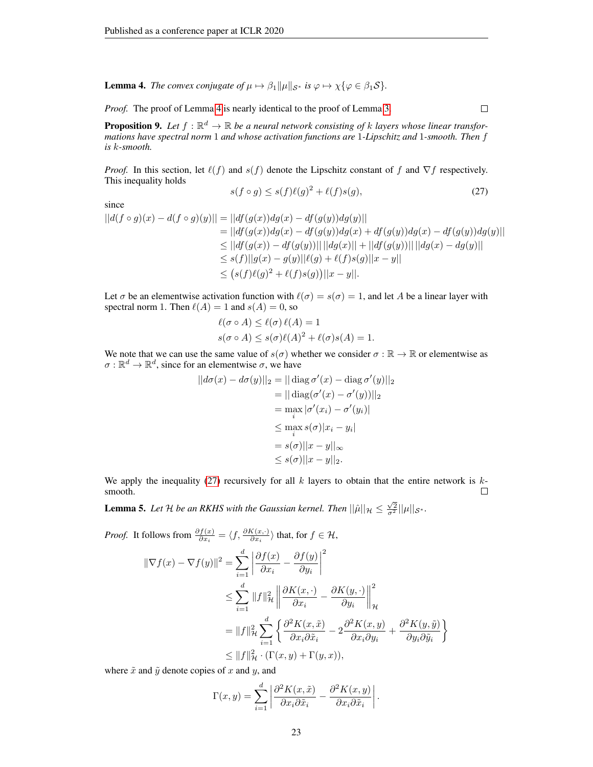**Lemma 4.** *The convex conjugate of*  $\mu \mapsto \beta_1 ||\mu||_{S^*}$  *is*  $\varphi \mapsto \chi {\varphi \in \beta_1 S}$ *.* 

*Proof.* The proof of Lemma [4](#page-21-0) is nearly identical to the proof of Lemma [3.](#page-21-1)

 $\Box$ 

**Proposition 9.** Let  $f : \mathbb{R}^d \to \mathbb{R}$  be a neural network consisting of k layers whose linear transformations have spectral norm 1 and whose activation functions are 1-Lipschitz and 1-smooth. Then f *is* k*-smooth.*

*Proof.* In this section, let  $\ell(f)$  and  $s(f)$  denote the Lipschitz constant of f and  $\nabla f$  respectively. This inequality holds

<span id="page-22-1"></span>
$$
s(f \circ g) \le s(f)\ell(g)^2 + \ell(f)s(g),\tag{27}
$$

since

$$
||d(f \circ g)(x) - d(f \circ g)(y)|| = ||df(g(x))dg(x) - df(g(y))dg(y)||
$$
  
\n
$$
= ||df(g(x))dg(x) - df(g(y))dg(x) + df(g(y))dg(x) - df(g(y))dg(y)||
$$
  
\n
$$
\leq ||df(g(x)) - df(g(y))|| ||dg(x)|| + ||df(g(y))|| ||dg(x) - dg(y)||
$$
  
\n
$$
\leq s(f)||g(x) - g(y)||\ell(g) + \ell(f)s(g)||x - y||
$$
  
\n
$$
\leq (s(f)\ell(g)^2 + \ell(f)s(g)||x - y||).
$$

Let  $\sigma$  be an elementwise activation function with  $\ell(\sigma) = s(\sigma) = 1$ , and let A be a linear layer with spectral norm 1. Then  $\ell(A) = 1$  and  $s(A) = 0$ , so

$$
\ell(\sigma \circ A) \leq \ell(\sigma) \ell(A) = 1
$$
  

$$
s(\sigma \circ A) \leq s(\sigma) \ell(A)^2 + \ell(\sigma) s(A) = 1.
$$

We note that we can use the same value of  $s(\sigma)$  whether we consider  $\sigma : \mathbb{R} \to \mathbb{R}$  or elementwise as  $\sigma : \mathbb{R}^d \to \mathbb{R}^d$ , since for an elementwise  $\sigma$ , we have

$$
||d\sigma(x) - d\sigma(y)||_2 = || \operatorname{diag} \sigma'(x) - \operatorname{diag} \sigma'(y)||_2
$$
  
\n
$$
= || \operatorname{diag}(\sigma'(x) - \sigma'(y)) ||_2
$$
  
\n
$$
= \max_i |\sigma'(x_i) - \sigma'(y_i)|
$$
  
\n
$$
\leq \max_i s(\sigma) |x_i - y_i|
$$
  
\n
$$
= s(\sigma) ||x - y||_{\infty}
$$
  
\n
$$
\leq s(\sigma) ||x - y||_2.
$$

We apply the inequality [\(27\)](#page-22-1) recursively for all  $k$  layers to obtain that the entire network is  $k$ smooth.  $\Box$ 

<span id="page-22-0"></span>**Lemma 5.** Let H be an RKHS with the Gaussian kernel. Then  $||\hat{\mu}||_{\mathcal{H}} \leq \frac{\sqrt{2}}{\sigma^2}||\mu||_{\mathcal{S}^*}$ .

Proof. It follows from 
$$
\frac{\partial f(x)}{\partial x_i} = \langle f, \frac{\partial K(x, \cdot)}{\partial x_i} \rangle
$$
 that, for  $f \in \mathcal{H}$ ,  
\n
$$
\|\nabla f(x) - \nabla f(y)\|^2 = \sum_{i=1}^d \left| \frac{\partial f(x)}{\partial x_i} - \frac{\partial f(y)}{\partial y_i} \right|^2
$$
\n
$$
\leq \sum_{i=1}^d \|f\|_{\mathcal{H}}^2 \left\| \frac{\partial K(x, \cdot)}{\partial x_i} - \frac{\partial K(y, \cdot)}{\partial y_i} \right\|_{\mathcal{H}}^2
$$
\n
$$
= \|f\|_{\mathcal{H}}^2 \sum_{i=1}^d \left\{ \frac{\partial^2 K(x, \tilde{x})}{\partial x_i \partial \tilde{x}_i} - 2 \frac{\partial^2 K(x, y)}{\partial x_i \partial y_i} + \frac{\partial^2 K(y, \tilde{y})}{\partial y_i \partial \tilde{y}_i} \right\}
$$
\n
$$
\leq \|f\|_{\mathcal{H}}^2 \cdot (\Gamma(x, y) + \Gamma(y, x)),
$$

where  $\tilde{x}$  and  $\tilde{y}$  denote copies of x and y, and

$$
\Gamma(x,y) = \sum_{i=1}^{d} \left| \frac{\partial^2 K(x,\tilde{x})}{\partial x_i \partial \tilde{x}_i} - \frac{\partial^2 K(x,y)}{\partial x_i \partial \tilde{x}_i} \right|.
$$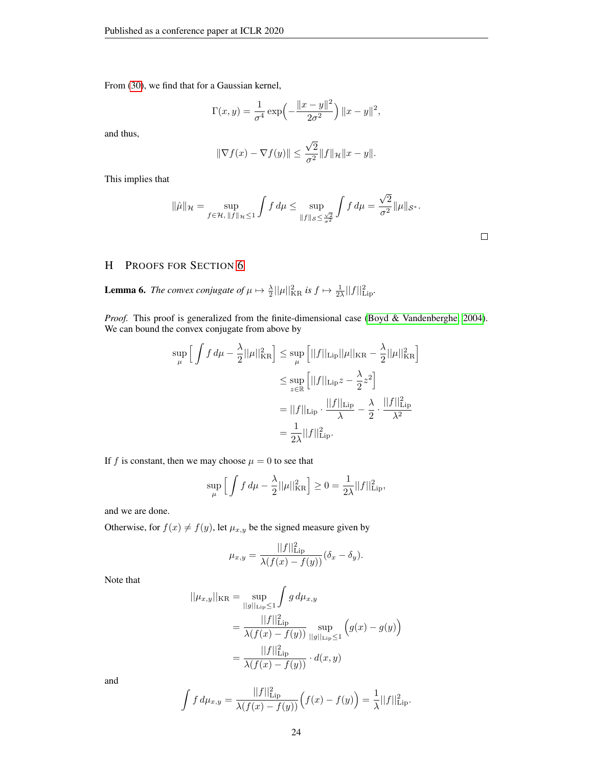From [\(30\)](#page-26-0), we find that for a Gaussian kernel,

$$
\Gamma(x, y) = \frac{1}{\sigma^4} \exp\left(-\frac{\|x - y\|^2}{2\sigma^2}\right) \|x - y\|^2,
$$

and thus,

$$
\|\nabla f(x) - \nabla f(y)\| \le \frac{\sqrt{2}}{\sigma^2} \|f\|_{\mathcal{H}} \|x - y\|.
$$

This implies that

$$
\|\hat{\mu}\|_{\mathcal{H}} = \sup_{f \in \mathcal{H}, \|f\|_{\mathcal{H}} \le 1} \int f \, d\mu \le \sup_{\|f\|_{\mathcal{S}} \le \frac{\sqrt{2}}{\sigma^2}} \int f \, d\mu = \frac{\sqrt{2}}{\sigma^2} \|\mu\|_{\mathcal{S}^*}.
$$

# H PROOFS FOR SECTION [6](#page-7-0)

<span id="page-23-0"></span>**Lemma 6.** The convex conjugate of  $\mu \mapsto \frac{\lambda}{2} ||\mu||_{\text{KR}}^2$  is  $f \mapsto \frac{1}{2\lambda} ||f||_{\text{Lip}}^2$ .

*Proof.* This proof is generalized from the finite-dimensional case [\(Boyd & Vandenberghe, 2004\)](#page-10-17). We can bound the convex conjugate from above by

$$
\sup_{\mu} \left[ \int f d\mu - \frac{\lambda}{2} ||\mu||_{\text{KR}}^2 \right] \leq \sup_{\mu} \left[ ||f||_{\text{Lip}} ||\mu||_{\text{KR}} - \frac{\lambda}{2} ||\mu||_{\text{KR}}^2 \right]
$$

$$
\leq \sup_{z \in \mathbb{R}} \left[ ||f||_{\text{Lip}} z - \frac{\lambda}{2} z^2 \right]
$$

$$
= ||f||_{\text{Lip}} \cdot \frac{||f||_{\text{Lip}}}{\lambda} - \frac{\lambda}{2} \cdot \frac{||f||_{\text{Lip}}^2}{\lambda^2}
$$

$$
= \frac{1}{2\lambda} ||f||_{\text{Lip}}^2.
$$

If f is constant, then we may choose  $\mu = 0$  to see that

$$
\sup_{\mu} \left[ \int f \, d\mu - \frac{\lambda}{2} ||\mu||_{\text{KR}}^2 \right] \ge 0 = \frac{1}{2\lambda} ||f||_{\text{Lip}}^2,
$$

and we are done.

Otherwise, for  $f(x) \neq f(y)$ , let  $\mu_{x,y}$  be the signed measure given by

$$
\mu_{x,y} = \frac{||f||_{\text{Lip}}^2}{\lambda(f(x) - f(y))} (\delta_x - \delta_y).
$$

Note that

$$
||\mu_{x,y}||_{\text{KR}} = \sup_{||g||_{\text{Lip}} \le 1} \int g d\mu_{x,y}
$$
  
= 
$$
\frac{||f||_{\text{Lip}}^2}{\lambda(f(x) - f(y))} \sup_{||g||_{\text{Lip}} \le 1} (g(x) - g(y))
$$
  
= 
$$
\frac{||f||_{\text{Lip}}^2}{\lambda(f(x) - f(y))} \cdot d(x,y)
$$

and

$$
\int f d\mu_{x,y} = \frac{||f||_{\text{Lip}}^2}{\lambda(f(x) - f(y))} (f(x) - f(y)) = \frac{1}{\lambda} ||f||_{\text{Lip}}^2.
$$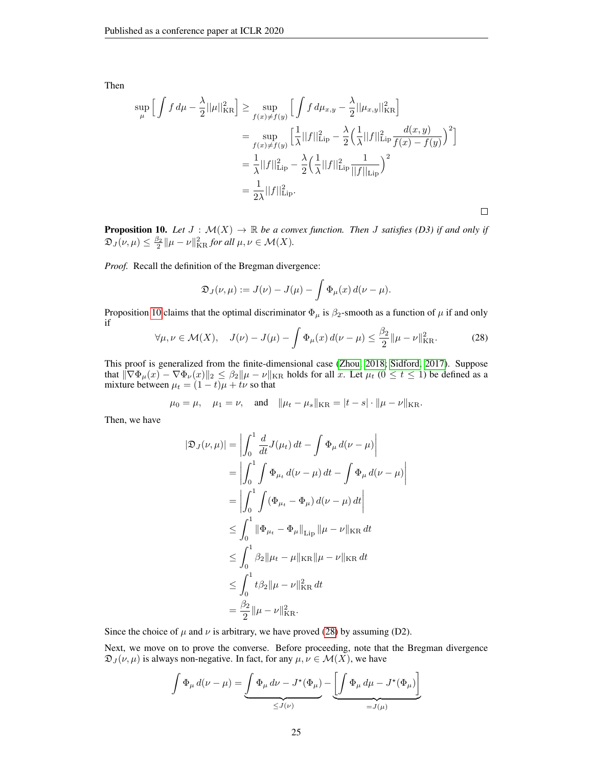Then

$$
\sup_{\mu} \left[ \int f d\mu - \frac{\lambda}{2} ||\mu||_{\text{KR}}^2 \right] \ge \sup_{f(x) \ne f(y)} \left[ \int f d\mu_{x,y} - \frac{\lambda}{2} ||\mu_{x,y}||_{\text{KR}}^2 \right]
$$
  
\n
$$
= \sup_{f(x) \ne f(y)} \left[ \frac{1}{\lambda} ||f||_{\text{Lip}}^2 - \frac{\lambda}{2} \left( \frac{1}{\lambda} ||f||_{\text{Lip}}^2 \frac{d(x,y)}{f(x) - f(y)} \right)^2 \right]
$$
  
\n
$$
= \frac{1}{\lambda} ||f||_{\text{Lip}}^2 - \frac{\lambda}{2} \left( \frac{1}{\lambda} ||f||_{\text{Lip}}^2 \frac{1}{||f||_{\text{Lip}}^2} \right)^2
$$
  
\n
$$
= \frac{1}{2\lambda} ||f||_{\text{Lip}}^2.
$$

**Proposition 10.** Let  $J : \mathcal{M}(X) \to \mathbb{R}$  be a convex function. Then J satisfies (D3) if and only if  $\mathfrak{D}_J(\nu,\mu) \leq \frac{\beta_2}{2} || \mu - \nu ||_{\text{KR}}^2$  for all  $\mu,\nu \in \mathcal{M}(X)$ .

*Proof.* Recall the definition of the Bregman divergence:

$$
\mathfrak{D}_J(\nu,\mu) := J(\nu) - J(\mu) - \int \Phi_\mu(x) d(\nu - \mu).
$$

<span id="page-24-0"></span>Proposition [10](#page-7-2) claims that the optimal discriminator  $\Phi_{\mu}$  is  $\beta_2$ -smooth as a function of  $\mu$  if and only if

$$
\forall \mu, \nu \in \mathcal{M}(X), \quad J(\nu) - J(\mu) - \int \Phi_{\mu}(x) d(\nu - \mu) \le \frac{\beta_2}{2} ||\mu - \nu||_{\text{KR}}^2. \tag{28}
$$

 $\Box$ 

This proof is generalized from the finite-dimensional case [\(Zhou, 2018;](#page-12-9) [Sidford, 2017\)](#page-12-10). Suppose that  $\|\nabla \Phi_{\mu}(x) - \nabla \Phi_{\nu}(x)\|_2 \leq \beta_2 \|\mu - \nu\|_{\text{KR}}$  holds for all x. Let  $\mu_t$  ( $0 \leq t \leq 1$ ) be defined as a mixture between  $\mu_t = (1 - t)\mu + t\nu$  so that

$$
\mu_0 = \mu
$$
,  $\mu_1 = \nu$ , and  $\|\mu_t - \mu_s\|_{\text{KR}} = |t - s| \cdot \|\mu - \nu\|_{\text{KR}}$ .

Then, we have

$$
|\mathfrak{D}_J(\nu,\mu)| = \left| \int_0^1 \frac{d}{dt} J(\mu_t) dt - \int \Phi_\mu d(\nu - \mu) \right|
$$
  
\n
$$
= \left| \int_0^1 \int \Phi_{\mu_t} d(\nu - \mu) dt - \int \Phi_\mu d(\nu - \mu) \right|
$$
  
\n
$$
= \left| \int_0^1 \int (\Phi_{\mu_t} - \Phi_\mu) d(\nu - \mu) dt \right|
$$
  
\n
$$
\leq \int_0^1 \|\Phi_{\mu_t} - \Phi_\mu\|_{\text{Lip}} \|\mu - \nu\|_{\text{KR}} dt
$$
  
\n
$$
\leq \int_0^1 \beta_2 \|\mu_t - \mu\|_{\text{KR}} \|\mu - \nu\|_{\text{KR}} dt
$$
  
\n
$$
\leq \int_0^1 t \beta_2 \|\mu - \nu\|_{\text{KR}}^2 dt
$$
  
\n
$$
= \frac{\beta_2}{2} \|\mu - \nu\|_{\text{KR}}^2.
$$

Since the choice of  $\mu$  and  $\nu$  is arbitrary, we have proved [\(28\)](#page-24-0) by assuming (D2).

Next, we move on to prove the converse. Before proceeding, note that the Bregman divergence  $\mathfrak{D}_J(\nu,\mu)$  is always non-negative. In fact, for any  $\mu,\nu \in \mathcal{M}(X)$ , we have

$$
\int \Phi_{\mu} d(\nu - \mu) = \underbrace{\int \Phi_{\mu} d\nu - J^{\star}(\Phi_{\mu})}_{\leq J(\nu)} - \underbrace{\left[\int \Phi_{\mu} d\mu - J^{\star}(\Phi_{\mu})\right]}_{=J(\mu)}
$$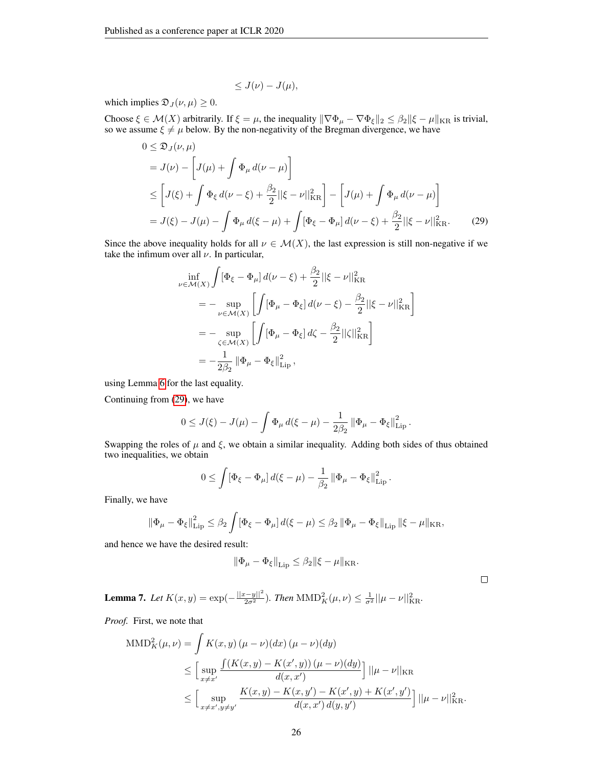<span id="page-25-1"></span>
$$
\leq J(\nu) - J(\mu),
$$

which implies  $\mathfrak{D}_J(\nu,\mu) \geq 0$ .

Choose  $\xi \in \mathcal{M}(X)$  arbitrarily. If  $\xi = \mu$ , the inequality  $\|\nabla \Phi_{\mu} - \nabla \Phi_{\xi}\|_2 \leq \beta_2 \|\xi - \mu\|_{KR}$  is trivial, so we assume  $\xi \neq \mu$  below. By the non-negativity of the Bregman divergence, we have

$$
0 \leq \mathfrak{D}_{J}(\nu,\mu)
$$
  
=  $J(\nu) - \left[J(\mu) + \int \Phi_{\mu} d(\nu - \mu)\right]$   

$$
\leq \left[J(\xi) + \int \Phi_{\xi} d(\nu - \xi) + \frac{\beta_{2}}{2} ||\xi - \nu||_{\text{KR}}^{2}\right] - \left[J(\mu) + \int \Phi_{\mu} d(\nu - \mu)\right]
$$
  
=  $J(\xi) - J(\mu) - \int \Phi_{\mu} d(\xi - \mu) + \int [\Phi_{\xi} - \Phi_{\mu}] d(\nu - \xi) + \frac{\beta_{2}}{2} ||\xi - \nu||_{\text{KR}}^{2}.$  (29)

Since the above inequality holds for all  $\nu \in \mathcal{M}(X)$ , the last expression is still non-negative if we take the infimum over all  $\nu$ . In particular,

$$
\inf_{\nu \in \mathcal{M}(X)} \int [\Phi_{\xi} - \Phi_{\mu}] d(\nu - \xi) + \frac{\beta_2}{2} ||\xi - \nu||_{\text{KR}}^2 \n= - \sup_{\nu \in \mathcal{M}(X)} \left[ \int [\Phi_{\mu} - \Phi_{\xi}] d(\nu - \xi) - \frac{\beta_2}{2} ||\xi - \nu||_{\text{KR}}^2 \right] \n= - \sup_{\zeta \in \mathcal{M}(X)} \left[ \int [\Phi_{\mu} - \Phi_{\xi}] d\zeta - \frac{\beta_2}{2} ||\zeta||_{\text{KR}}^2 \right] \n= - \frac{1}{2\beta_2} ||\Phi_{\mu} - \Phi_{\xi}||_{\text{Lip}}^2,
$$

using Lemma [6](#page-23-0) for the last equality.

Continuing from [\(29\)](#page-25-1), we have

$$
0 \leq J(\xi) - J(\mu) - \int \Phi_{\mu} d(\xi - \mu) - \frac{1}{2\beta_2} ||\Phi_{\mu} - \Phi_{\xi}||_{\rm Lip}^2.
$$

Swapping the roles of  $\mu$  and  $\xi$ , we obtain a similar inequality. Adding both sides of thus obtained two inequalities, we obtain

$$
0 \leq \int [\Phi_{\xi} - \Phi_{\mu}] d(\xi - \mu) - \frac{1}{\beta_2} ||\Phi_{\mu} - \Phi_{\xi}||_{\text{Lip}}^2.
$$

Finally, we have

$$
\left\|\Phi_{\mu}-\Phi_{\xi}\right\|_{\mathrm{Lip}}^{2} \leq \beta_{2} \int \left[\Phi_{\xi}-\Phi_{\mu}\right] d(\xi-\mu) \leq \beta_{2} \left\|\Phi_{\mu}-\Phi_{\xi}\right\|_{\mathrm{Lip}} \left\|\xi-\mu\right\|_{\mathrm{KR}},
$$

and hence we have the desired result:

$$
\|\Phi_{\mu}-\Phi_{\xi}\|_{\text{Lip}} \leq \beta_2 \|\xi-\mu\|_{\text{KR}}.
$$

<span id="page-25-0"></span>**Lemma 7.** Let  $K(x, y) = \exp(-\frac{||x-y||^2}{2\sigma^2})$ . Then  $\text{MMD}_K^2(\mu, \nu) \leq \frac{1}{\sigma^2} ||\mu - \nu||_{\text{KR}}^2$ .

*Proof.* First, we note that

$$
\begin{split} \text{MMD}_{K}^{2}(\mu, \nu) &= \int K(x, y) \left( \mu - \nu \right) (dx) \left( \mu - \nu \right) (dy) \\ &\leq \Big[ \sup_{x \neq x'} \frac{\int (K(x, y) - K(x', y)) \left( \mu - \nu \right) (dy)}{d(x, x')} \Big] \, ||\mu - \nu||_{\text{KR}} \\ &\leq \Big[ \sup_{x \neq x', y \neq y'} \frac{K(x, y) - K(x, y') - K(x', y) + K(x', y')}{d(x, x') \, d(y, y')} \Big] \, ||\mu - \nu||_{\text{KR}}^{2} . \end{split}
$$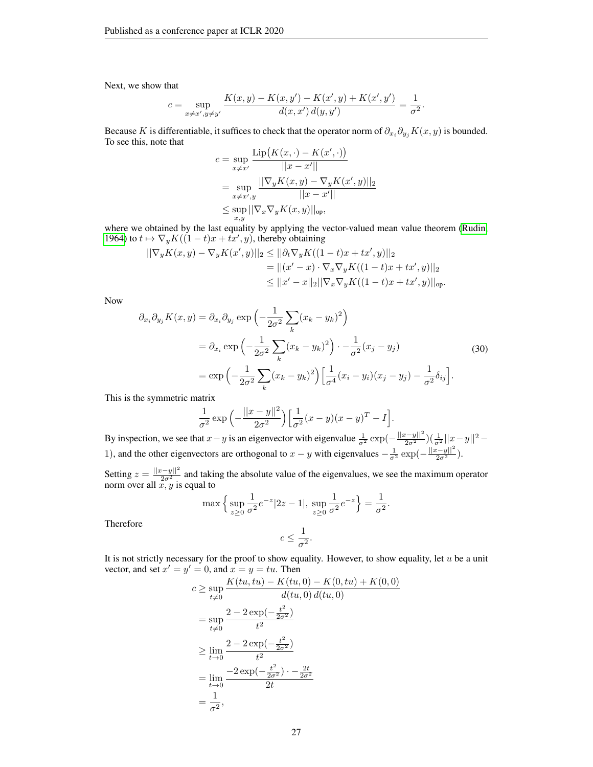Next, we show that

$$
c = \sup_{x \neq x', y \neq y'} \frac{K(x, y) - K(x, y') - K(x', y) + K(x', y')}{d(x, x') d(y, y')} = \frac{1}{\sigma^2}.
$$

Because K is differentiable, it suffices to check that the operator norm of  $\partial_{x_i} \partial_{y_j} K(x, y)$  is bounded. To see this, note that

$$
\begin{aligned} c &= \sup_{x \neq x'} \frac{\text{Lip}\big(K(x,\cdot) - K(x',\cdot)\big)}{||x - x'||} \\ &= \sup_{x \neq x',y} \frac{||\nabla_y K(x,y) - \nabla_y K(x',y)||_2}{||x - x'||} \\ &\leq \sup_{x,y} ||\nabla_x \nabla_y K(x,y)||_{\text{op}}, \end{aligned}
$$

where we obtained by the last equality by applying the vector-valued mean value theorem [\(Rudin,](#page-12-11) [1964\)](#page-12-11) to  $t \mapsto \nabla_y K((1-t)x + tx', y)$ , thereby obtaining

$$
\begin{aligned} ||\nabla_y K(x, y) - \nabla_y K(x', y)||_2 &\leq ||\partial_t \nabla_y K((1 - t)x + tx', y)||_2 \\ &= ||(x' - x) \cdot \nabla_x \nabla_y K((1 - t)x + tx', y)||_2 \\ &\leq ||x' - x||_2 ||\nabla_x \nabla_y K((1 - t)x + tx', y)||_{\text{op}}. \end{aligned}
$$

Now

<span id="page-26-0"></span>
$$
\partial_{x_i} \partial_{y_j} K(x, y) = \partial_{x_i} \partial_{y_j} \exp\left(-\frac{1}{2\sigma^2} \sum_k (x_k - y_k)^2\right)
$$
  
\n
$$
= \partial_{x_i} \exp\left(-\frac{1}{2\sigma^2} \sum_k (x_k - y_k)^2\right) \cdot -\frac{1}{\sigma^2} (x_j - y_j)
$$
  
\n
$$
= \exp\left(-\frac{1}{2\sigma^2} \sum_k (x_k - y_k)^2\right) \left[\frac{1}{\sigma^4} (x_i - y_i)(x_j - y_j) - \frac{1}{\sigma^2} \delta_{ij}\right].
$$
\n(30)

This is the symmetric matrix

$$
\frac{1}{\sigma^2} \exp\left(-\frac{||x-y||^2}{2\sigma^2}\right) \left[\frac{1}{\sigma^2}(x-y)(x-y)^T - I\right].
$$

By inspection, we see that  $x - y$  is an eigenvector with eigenvalue  $\frac{1}{\sigma^2} \exp(-\frac{||x-y||^2}{2\sigma^2})(\frac{1}{\sigma^2}||x-y||^2 -$ 1), and the other eigenvectors are orthogonal to  $x - y$  with eigenvalues  $-\frac{1}{\sigma^2} \exp(-\frac{||x-y||^2}{2\sigma^2})$ .

Setting  $z = \frac{||x-y||^2}{2\sigma^2}$  and taking the absolute value of the eigenvalues, we see the maximum operator norm over all  $x, y$  is equal to

$$
\max \left\{ \sup_{z \ge 0} \frac{1}{\sigma^2} e^{-z} |2z - 1|, \sup_{z \ge 0} \frac{1}{\sigma^2} e^{-z} \right\} = \frac{1}{\sigma^2}.
$$

$$
c \le \frac{1}{\sigma^2}.
$$

Therefore

It is not strictly necessary for the proof to show equality. However, to show equality, let  $u$  be a unit vector, and set  $x' = y' = 0$ , and  $x = y = tu$ . Then

$$
c \ge \sup_{t \ne 0} \frac{K(tu, tu) - K(tu, 0) - K(0, tu) + K(0, 0)}{d(tu, 0) d(tu, 0)}
$$
  
=  $\sup_{t \ne 0} \frac{2 - 2 \exp(-\frac{t^2}{2\sigma^2})}{t^2}$   

$$
\ge \lim_{t \to 0} \frac{2 - 2 \exp(-\frac{t^2}{2\sigma^2})}{t^2}
$$
  
=  $\lim_{t \to 0} \frac{-2 \exp(-\frac{t^2}{2\sigma^2}) - \frac{2t}{2\sigma^2}}{2t}$   
=  $\frac{1}{\sigma^2}$ ,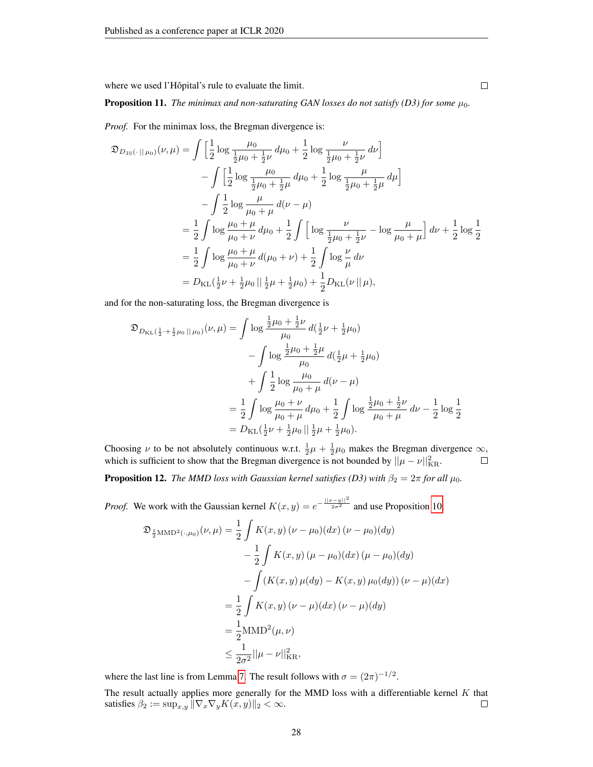where we used l'Hôpital's rule to evaluate the limit.

**Proposition 11.** *The minimax and non-saturating GAN losses do not satisfy (D3) for some*  $\mu_0$ *.* 

*Proof.* For the minimax loss, the Bregman divergence is:

$$
\mathfrak{D}_{D_{\text{JS}}(\cdot \parallel \mu_{0})}(\nu, \mu) = \int \left[ \frac{1}{2} \log \frac{\mu_{0}}{\frac{1}{2}\mu_{0} + \frac{1}{2}\nu} d\mu_{0} + \frac{1}{2} \log \frac{\nu}{\frac{1}{2}\mu_{0} + \frac{1}{2}\nu} d\nu \right] \n- \int \left[ \frac{1}{2} \log \frac{\mu_{0}}{\frac{1}{2}\mu_{0} + \frac{1}{2}\mu} d\mu_{0} + \frac{1}{2} \log \frac{\mu}{\frac{1}{2}\mu_{0} + \frac{1}{2}\mu} d\mu \right] \n- \int \frac{1}{2} \log \frac{\mu}{\mu_{0} + \mu} d(\nu - \mu) \n= \frac{1}{2} \int \log \frac{\mu_{0} + \mu}{\mu_{0} + \nu} d\mu_{0} + \frac{1}{2} \int \left[ \log \frac{\nu}{\frac{1}{2}\mu_{0} + \frac{1}{2}\nu} - \log \frac{\mu}{\mu_{0} + \mu} \right] d\nu + \frac{1}{2} \log \frac{1}{2} \n= \frac{1}{2} \int \log \frac{\mu_{0} + \mu}{\mu_{0} + \nu} d(\mu_{0} + \nu) + \frac{1}{2} \int \log \frac{\nu}{\mu} d\nu \n= D_{\text{KL}}(\frac{1}{2}\nu + \frac{1}{2}\mu_{0}) + \frac{1}{2}\mu_{0} + \frac{1}{2} D_{\text{KL}}(\nu || \mu),
$$

and for the non-saturating loss, the Bregman divergence is

$$
\mathfrak{D}_{D_{\text{KL}}}(\frac{1}{2} + \frac{1}{2}\mu_0 \|\mu_0)(\nu,\mu) = \int \log \frac{\frac{1}{2}\mu_0 + \frac{1}{2}\nu}{\mu_0} d(\frac{1}{2}\nu + \frac{1}{2}\mu_0) \n- \int \log \frac{\frac{1}{2}\mu_0 + \frac{1}{2}\mu}{\mu_0} d(\frac{1}{2}\mu + \frac{1}{2}\mu_0) \n+ \int \frac{1}{2} \log \frac{\mu_0}{\mu_0 + \mu} d(\nu - \mu) \n= \frac{1}{2} \int \log \frac{\mu_0 + \nu}{\mu_0 + \mu} d\mu_0 + \frac{1}{2} \int \log \frac{\frac{1}{2}\mu_0 + \frac{1}{2}\nu}{\mu_0 + \mu} d\nu - \frac{1}{2} \log \frac{1}{2} \n= D_{\text{KL}}(\frac{1}{2}\nu + \frac{1}{2}\mu_0 \|\frac{1}{2}\mu + \frac{1}{2}\mu_0).
$$

Choosing  $\nu$  to be not absolutely continuous w.r.t.  $\frac{1}{2}\mu + \frac{1}{2}\mu_0$  makes the Bregman divergence  $\infty$ , which is sufficient to show that the Bregman divergence is not bounded by  $||\mu - \nu||_{\text{KR}}^2$ .

**Proposition 12.** *The MMD loss with Gaussian kernel satisfies (D3) with*  $\beta_2 = 2\pi$  *for all*  $\mu_0$ *.* 

*Proof.* We work with the Gaussian kernel  $K(x, y) = e^{-\frac{||x - y||^2}{2\sigma^2}}$  and use Proposition [10:](#page-7-2)

$$
\mathfrak{D}_{\frac{1}{2}MMD^{2}(\cdot,\mu_{0})}(\nu,\mu) = \frac{1}{2} \int K(x,y) (\nu - \mu_{0})(dx) (\nu - \mu_{0})(dy)
$$

$$
- \frac{1}{2} \int K(x,y) (\mu - \mu_{0})(dx) (\mu - \mu_{0})(dy)
$$

$$
- \int (K(x,y) \mu(dy) - K(x,y) \mu_{0}(dy)) (\nu - \mu)(dx)
$$

$$
= \frac{1}{2} \int K(x,y) (\nu - \mu)(dx) (\nu - \mu)(dy)
$$

$$
= \frac{1}{2} MMD^{2}(\mu, \nu)
$$

$$
\leq \frac{1}{2\sigma^{2}} ||\mu - \nu||^{2}_{\text{KR}},
$$

where the last line is from Lemma [7.](#page-25-0) The result follows with  $\sigma = (2\pi)^{-1/2}$ .

The result actually applies more generally for the MMD loss with a differentiable kernel  $K$  that satisfies  $\beta_2 := \sup_{x,y} \|\nabla_x \nabla_y K(x,y)\|_2 < \infty.$  $\Box$ 

 $\Box$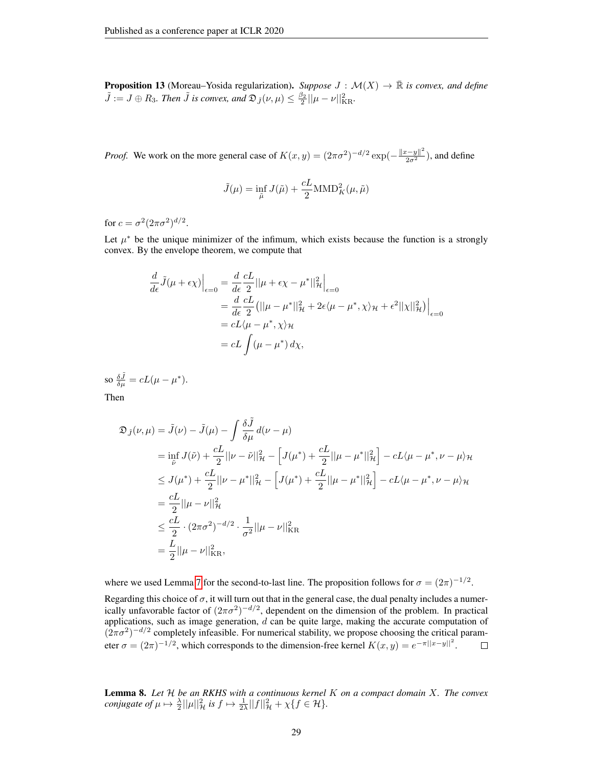**Proposition 13** (Moreau–Yosida regularization). *Suppose*  $J : \mathcal{M}(X) \to \mathbb{R}$  *is convex, and define*  $\tilde{J} := J \oplus R_3$ . Then  $\tilde{J}$  is convex, and  $\mathfrak{D}_{\tilde{J}}(\nu,\mu) \leq \frac{\beta_2}{2} ||\mu - \nu||_{\text{KR}}^2$ .

*Proof.* We work on the more general case of  $K(x, y) = (2\pi\sigma^2)^{-d/2} \exp(-\frac{||x-y||^2}{2\sigma^2})$ , and define

$$
\tilde{J}(\mu) = \inf_{\tilde{\mu}} J(\tilde{\mu}) + \frac{cL}{2} \text{MMD}_{K}^{2}(\mu, \tilde{\mu})
$$

for  $c = \sigma^2 (2\pi\sigma^2)^{d/2}$ .

Let  $\mu^*$  be the unique minimizer of the infimum, which exists because the function is a strongly convex. By the envelope theorem, we compute that

$$
\frac{d}{d\epsilon}\tilde{J}(\mu + \epsilon \chi)\Big|_{\epsilon=0} = \frac{d}{d\epsilon}\frac{cL}{2}||\mu + \epsilon \chi - \mu^*||^2_{\mathcal{H}}\Big|_{\epsilon=0}
$$
  
\n
$$
= \frac{d}{d\epsilon}\frac{cL}{2} (||\mu - \mu^*||^2_{\mathcal{H}} + 2\epsilon \langle \mu - \mu^*, \chi \rangle_{\mathcal{H}} + \epsilon^2 ||\chi||^2_{\mathcal{H}}) \Big|_{\epsilon=0}
$$
  
\n
$$
= cL \langle \mu - \mu^*, \chi \rangle_{\mathcal{H}}
$$
  
\n
$$
= cL \int (\mu - \mu^*) d\chi,
$$

so  $\frac{\delta \tilde{J}}{\delta \mu} = cL(\mu - \mu^*).$ Then

$$
\mathfrak{D}_{\tilde{J}}(\nu,\mu) = \tilde{J}(\nu) - \tilde{J}(\mu) - \int \frac{\delta \tilde{J}}{\delta \mu} d(\nu - \mu)
$$
  
\n
$$
= \inf_{\tilde{\nu}} J(\tilde{\nu}) + \frac{cL}{2} ||\nu - \tilde{\nu}||_{\mathcal{H}}^2 - \left[J(\mu^*) + \frac{cL}{2} ||\mu - \mu^*||_{\mathcal{H}}^2\right] - cL\langle \mu - \mu^*, \nu - \mu \rangle_{\mathcal{H}}
$$
  
\n
$$
\leq J(\mu^*) + \frac{cL}{2} ||\nu - \mu^*||_{\mathcal{H}}^2 - \left[J(\mu^*) + \frac{cL}{2} ||\mu - \mu^*||_{\mathcal{H}}^2\right] - cL\langle \mu - \mu^*, \nu - \mu \rangle_{\mathcal{H}}
$$
  
\n
$$
= \frac{cL}{2} ||\mu - \nu||_{\mathcal{H}}^2
$$
  
\n
$$
\leq \frac{cL}{2} \cdot (2\pi\sigma^2)^{-d/2} \cdot \frac{1}{\sigma^2} ||\mu - \nu||_{\text{KR}}^2
$$
  
\n
$$
= \frac{L}{2} ||\mu - \nu||_{\text{KR}}^2,
$$

where we used Lemma [7](#page-25-0) for the second-to-last line. The proposition follows for  $\sigma = (2\pi)^{-1/2}$ .

Regarding this choice of  $\sigma$ , it will turn out that in the general case, the dual penalty includes a numerically unfavorable factor of  $(2\pi\sigma^2)^{-d/2}$ , dependent on the dimension of the problem. In practical applications, such as image generation,  $d$  can be quite large, making the accurate computation of  $(2\pi\sigma^2)^{-d/2}$  completely infeasible. For numerical stability, we propose choosing the critical parameter  $\sigma = (2\pi)^{-1/2}$ , which corresponds to the dimension-free kernel  $K(x, y) = e^{-\pi ||x-y||^2}$ .  $\Box$ 

Lemma 8. *Let* H *be an RKHS with a continuous kernel* K *on a compact domain* X*. The convex conjugate of*  $\mu \mapsto \frac{\lambda}{2} ||\mu||^2_{\mathcal{H}}$  *is*  $f \mapsto \frac{1}{2\lambda} ||f||^2_{\mathcal{H}} + \chi \{ f \in \mathcal{H} \}.$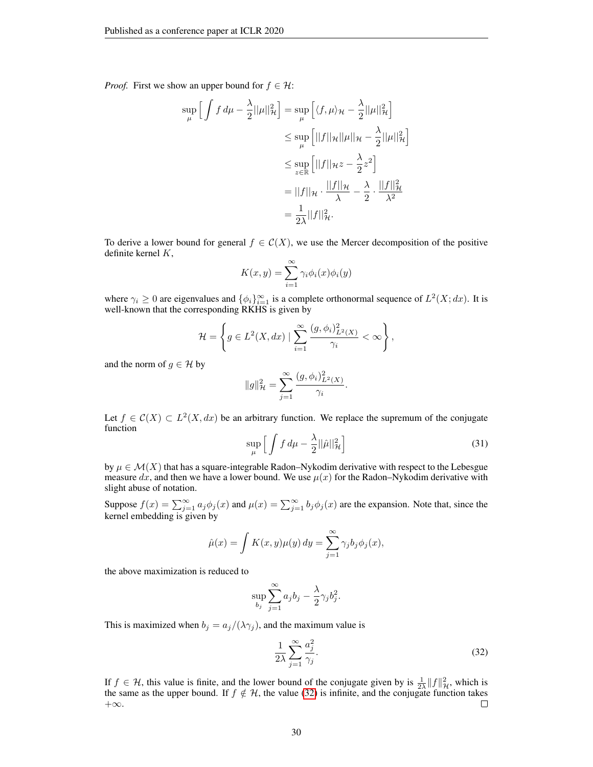*Proof.* First we show an upper bound for  $f \in \mathcal{H}$ :

$$
\sup_{\mu} \left[ \int f d\mu - \frac{\lambda}{2} ||\mu||_{\mathcal{H}}^2 \right] = \sup_{\mu} \left[ \langle f, \mu \rangle_{\mathcal{H}} - \frac{\lambda}{2} ||\mu||_{\mathcal{H}}^2 \right]
$$
  

$$
\leq \sup_{\mu} \left[ ||f||_{\mathcal{H}} ||\mu||_{\mathcal{H}} - \frac{\lambda}{2} ||\mu||_{\mathcal{H}}^2 \right]
$$
  

$$
\leq \sup_{z \in \mathbb{R}} \left[ ||f||_{\mathcal{H}} z - \frac{\lambda}{2} z^2 \right]
$$
  

$$
= ||f||_{\mathcal{H}} \cdot \frac{||f||_{\mathcal{H}}}{\lambda} - \frac{\lambda}{2} \cdot \frac{||f||_{\mathcal{H}}^2}{\lambda^2}
$$
  

$$
= \frac{1}{2\lambda} ||f||_{\mathcal{H}}^2.
$$

To derive a lower bound for general  $f \in \mathcal{C}(X)$ , we use the Mercer decomposition of the positive definite kernel K,

$$
K(x, y) = \sum_{i=1}^{\infty} \gamma_i \phi_i(x) \phi_i(y)
$$

where  $\gamma_i \geq 0$  are eigenvalues and  $\{\phi_i\}_{i=1}^{\infty}$  is a complete orthonormal sequence of  $L^2(X; dx)$ . It is well-known that the corresponding RKHS is given by

$$
\mathcal{H} = \left\{ g \in L^2(X, dx) \mid \sum_{i=1}^{\infty} \frac{(g, \phi_i)_{L^2(X)}^2}{\gamma_i} < \infty \right\},\,
$$

and the norm of  $g \in \mathcal{H}$  by

$$
||g||_{\mathcal{H}}^{2} = \sum_{j=1}^{\infty} \frac{(g, \phi_{i})_{L^{2}(X)}^{2}}{\gamma_{i}}
$$

Let  $f \in C(X) \subset L^2(X, dx)$  be an arbitrary function. We replace the supremum of the conjugate function

$$
\sup_{\mu} \left[ \int f \, d\mu - \frac{\lambda}{2} ||\hat{\mu}||^2_{\mathcal{H}} \right] \tag{31}
$$

.

by  $\mu \in \mathcal{M}(X)$  that has a square-integrable Radon–Nykodim derivative with respect to the Lebesgue measure dx, and then we have a lower bound. We use  $\mu(x)$  for the Radon–Nykodim derivative with slight abuse of notation.

Suppose  $f(x) = \sum_{j=1}^{\infty} a_j \phi_j(x)$  and  $\mu(x) = \sum_{j=1}^{\infty} b_j \phi_j(x)$  are the expansion. Note that, since the kernel embedding is given by

$$
\hat{\mu}(x) = \int K(x, y)\mu(y) dy = \sum_{j=1}^{\infty} \gamma_j b_j \phi_j(x),
$$

the above maximization is reduced to

$$
\sup_{b_j} \sum_{j=1}^{\infty} a_j b_j - \frac{\lambda}{2} \gamma_j b_j^2.
$$

This is maximized when  $b_j = a_j/(\lambda \gamma_j)$ , and the maximum value is

<span id="page-29-0"></span>
$$
\frac{1}{2\lambda} \sum_{j=1}^{\infty} \frac{a_j^2}{\gamma_j}.
$$
\n(32)

If  $f \in \mathcal{H}$ , this value is finite, and the lower bound of the conjugate given by is  $\frac{1}{2\lambda} ||f||_{\mathcal{H}}^2$ , which is the same as the upper bound. If  $f \notin H$ , the value [\(32\)](#page-29-0) is infinite, and the conjugate function takes  $+\infty$ .  $+\infty$ .